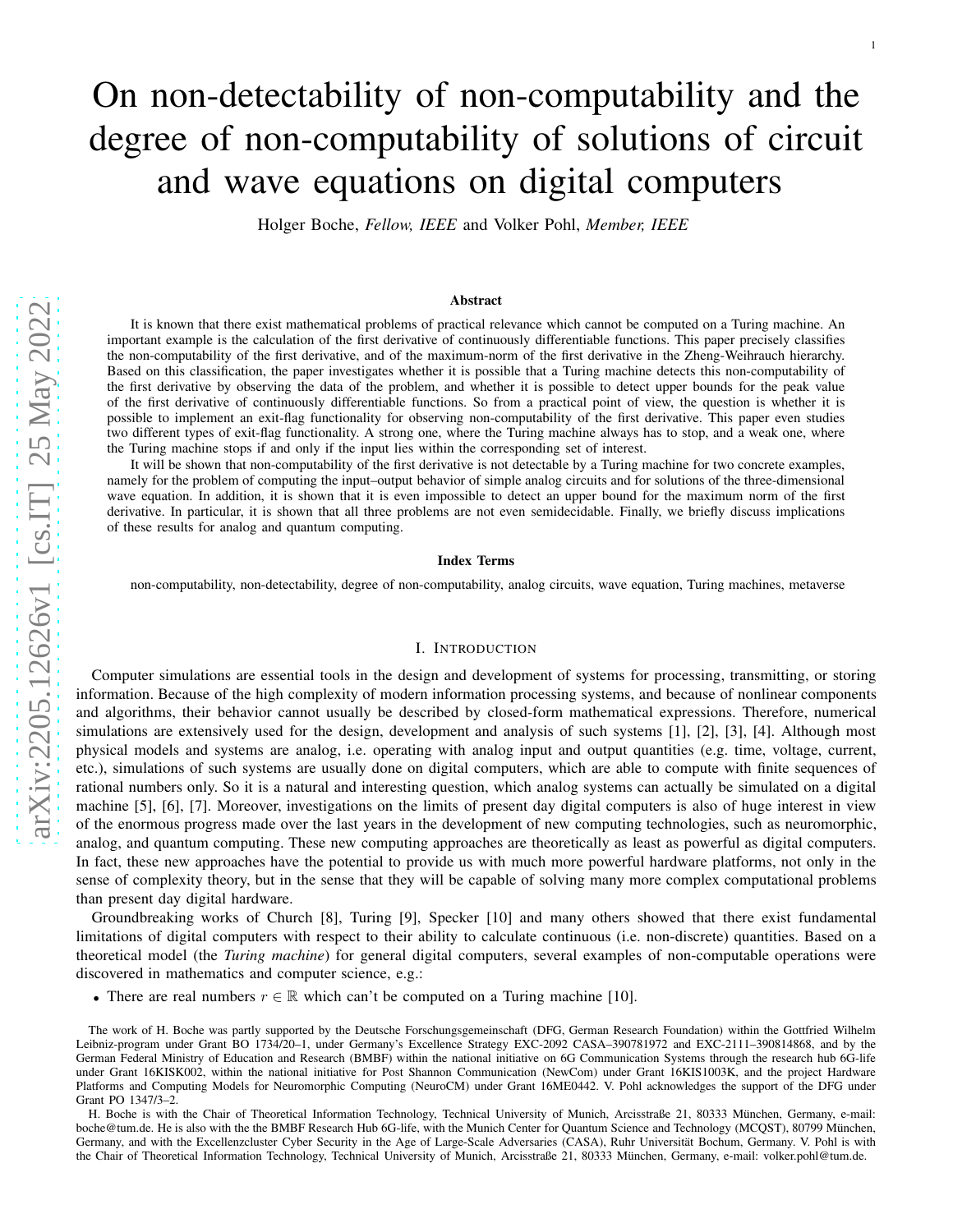# On non-detectability of non-computability and the degree of non-computability of solutions of circuit and wave equations on digital computers

1

Holger Boche, *Fellow, IEEE* and Volker Pohl, *Member, IEEE*

### Abstract

It is known that there exist mathematical problems of practical relevance which cannot be computed on a Turing machine. A n important example is the calculation of the first derivative of continuously differentiable functions. This paper precisely classifies the non-computability of the first derivative, and of the maximum-norm of the first derivative in the Zheng-Weihrauch hierarchy. Based on this classification, the paper investigates whether it is possible that a Turing machine detects this non-computability of the first derivative by observing the data of the problem, and whether it is possible to detect upper bounds for the peak value of the first derivative of continuously differentiable functions. So from a practical point of view, the question is whether it is possible to implement an exit-flag functionality for observing non-computability of the first derivative. This paper even studies two different types of exit-flag functionality. A strong one, where the Turing machine always has to stop, and a weak one, where the Turing machine stops if and only if the input lies within the corresponding set of interest.

It will be shown that non-computability of the first derivative is not detectable by a Turing machine for two concrete examples, namely for the problem of computing the input–output behavior of simple analog circuits and for solutions of the three-dimensional wave equation. In addition, it is shown that it is even impossible to detect an upper bound for the maximum norm of the first derivative. In particular, it is shown that all three problems are not even semidecidable. Finally, we briefly discuss implications of these results for analog and quantum computing.

#### Index Terms

non-computability, non-detectability, degree of non-computability, analog circuits, wave equation, Turing machines, metaverse

### I. INTRODUCTION

Computer simulations are essential tools in the design and development of systems for processing, transmitting, or storing information. Because of the high complexity of modern information processing systems, and because of nonlinear components and algorithms, their behavior cannot usually be described by closed-form mathematical expressions. Therefore, numerical simulations are extensively used for the design, development and analysis of such systems [1], [2], [3], [4]. Although most physical models and systems are analog, i.e. operating with analog input and output quantities (e.g. time, voltage, current, etc.), simulations of such systems are usually done on digital computers, which are able to compute with finite sequences of rational numbers only. So it is a natural and interesting question, which analog systems can actually be simulated on a digital machine [5], [6], [7]. Moreover, investigations on the limits of present day digital computers is also of huge interest in view of the enormous progress made over the last years in the development of new computing technologies, such as neuromorphic , analog, and quantum computing. These new computing approaches are theoretically as least as powerful as digital computers. In fact, these new approaches have the potential to provide us with much more powerful hardware platforms, not only in the sense of complexity theory, but in the sense that they will be capable of solving many more complex computational problem s than present day digital hardware.

Groundbreaking works of Church [8], Turing [9], Specker [10] and many others showed that there exist fundamental limitations of digital computers with respect to their ability to calculate continuous (i.e. non-discrete) quantities. Based on a theoretical model (the *Turing machine*) for general digital computers, several examples of non-computable operations were discovered in mathematics and computer science, e.g.:

• There are real numbers  $r \in \mathbb{R}$  which can't be computed on a Turing machine [10].

The work of H. Boche was partly supported by the Deutsche Forschungsgemeinschaft (DFG, German Research Foundation) within the Gottfried Wilhelm Leibniz-program under Grant BO 1734/20–1, under Germany's Excellence Strategy EXC-2092 CASA–390781972 and EXC-2111–390814868, and by the German Federal Ministry of Education and Research (BMBF) within the national initiative on 6G Communication Systems through the research hub 6G-life under Grant 16KISK002, within the national initiative for Post Shannon Communication (NewCom) under Grant 16KIS1003K, and the project Hardware Platforms and Computing Models for Neuromorphic Computing (NeuroCM) under Grant 16ME0442. V. Pohl acknowledges the support of the DFG under Grant PO 1347/3–2.

H. Boche is with the Chair of Theoretical Information Technology, Technical University of Munich, Arcisstraße 21, 80333 München, Germany, e-mail: boche@tum.de. He is also with the the BMBF Research Hub 6G-life, with the Munich Center for Quantum Science and Technology (MCQST), 80799 München, Germany, and with the Excellenzcluster Cyber Security in the Age of Large-Scale Adversaries (CASA), Ruhr Universität Bochum, Germany. V. Pohl is with the Chair of Theoretical Information Technology, Technical University of Munich, Arcisstraße 21, 80333 München, Germany, e-mail: volker.pohl@tum.de.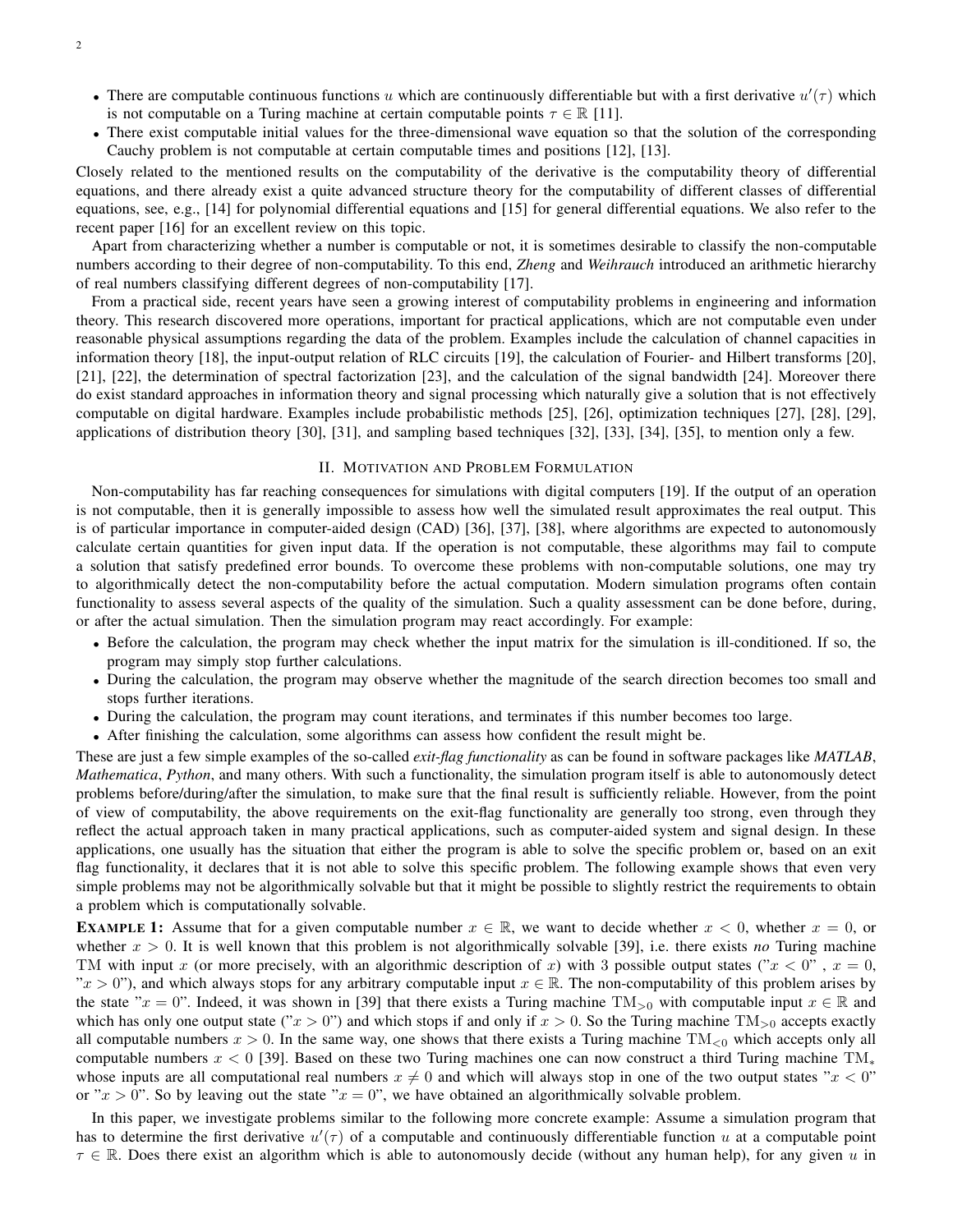- There are computable continuous functions u which are continuously differentiable but with a first derivative  $u'(\tau)$  which is not computable on a Turing machine at certain computable points  $\tau \in \mathbb{R}$  [11].
- There exist computable initial values for the three-dimensional wave equation so that the solution of the corresponding Cauchy problem is not computable at certain computable times and positions [12], [13].

Closely related to the mentioned results on the computability of the derivative is the computability theory of differential equations, and there already exist a quite advanced structure theory for the computability of different classes of differential equations, see, e.g., [14] for polynomial differential equations and [15] for general differential equations. We also refer to the recent paper [16] for an excellent review on this topic.

Apart from characterizing whether a number is computable or not, it is sometimes desirable to classify the non-computable numbers according to their degree of non-computability. To this end, *Zheng* and *Weihrauch* introduced an arithmetic hierarchy of real numbers classifying different degrees of non-computability [17].

From a practical side, recent years have seen a growing interest of computability problems in engineering and information theory. This research discovered more operations, important for practical applications, which are not computable even under reasonable physical assumptions regarding the data of the problem. Examples include the calculation of channel capacities in information theory [18], the input-output relation of RLC circuits [19], the calculation of Fourier- and Hilbert transforms [20], [21], [22], the determination of spectral factorization [23], and the calculation of the signal bandwidth [24]. Moreover there do exist standard approaches in information theory and signal processing which naturally give a solution that is not effectively computable on digital hardware. Examples include probabilistic methods [25], [26], optimization techniques [27], [28], [29], applications of distribution theory [30], [31], and sampling based techniques [32], [33], [34], [35], to mention only a few.

### II. MOTIVATION AND PROBLEM FORMULATION

Non-computability has far reaching consequences for simulations with digital computers [19]. If the output of an operation is not computable, then it is generally impossible to assess how well the simulated result approximates the real output. This is of particular importance in computer-aided design (CAD) [36], [37], [38], where algorithms are expected to autonomously calculate certain quantities for given input data. If the operation is not computable, these algorithms may fail to compute a solution that satisfy predefined error bounds. To overcome these problems with non-computable solutions, one may try to algorithmically detect the non-computability before the actual computation. Modern simulation programs often contain functionality to assess several aspects of the quality of the simulation. Such a quality assessment can be done before, during, or after the actual simulation. Then the simulation program may react accordingly. For example:

- Before the calculation, the program may check whether the input matrix for the simulation is ill-conditioned. If so, the program may simply stop further calculations.
- During the calculation, the program may observe whether the magnitude of the search direction becomes too small and stops further iterations.
- During the calculation, the program may count iterations, and terminates if this number becomes too large.
- After finishing the calculation, some algorithms can assess how confident the result might be.

These are just a few simple examples of the so-called *exit-flag functionality* as can be found in software packages like *MATLAB*, *Mathematica*, *Python*, and many others. With such a functionality, the simulation program itself is able to autonomously detect problems before/during/after the simulation, to make sure that the final result is sufficiently reliable. However, from the point of view of computability, the above requirements on the exit-flag functionality are generally too strong, even through they reflect the actual approach taken in many practical applications, such as computer-aided system and signal design. In these applications, one usually has the situation that either the program is able to solve the specific problem or, based on an exit flag functionality, it declares that it is not able to solve this specific problem. The following example shows that even very simple problems may not be algorithmically solvable but that it might be possible to slightly restrict the requirements to obtain a problem which is computationally solvable.

**EXAMPLE 1:** Assume that for a given computable number  $x \in \mathbb{R}$ , we want to decide whether  $x < 0$ , whether  $x = 0$ , or whether  $x > 0$ . It is well known that this problem is not algorithmically solvable [39], i.e. there exists *no* Turing machine TM with input x (or more precisely, with an algorithmic description of x) with 3 possible output states (" $x < 0$ ",  $x = 0$ , " $x > 0$ "), and which always stops for any arbitrary computable input  $x \in \mathbb{R}$ . The non-computability of this problem arises by the state " $x = 0$ ". Indeed, it was shown in [39] that there exists a Turing machine TM<sub>>0</sub> with computable input  $x \in \mathbb{R}$  and which has only one output state (" $x > 0$ ") and which stops if and only if  $x > 0$ . So the Turing machine TM<sub>>0</sub> accepts exactly all computable numbers  $x > 0$ . In the same way, one shows that there exists a Turing machine  $TM_{\leq 0}$  which accepts only all computable numbers  $x < 0$  [39]. Based on these two Turing machines one can now construct a third Turing machine TM<sup>\*</sup> whose inputs are all computational real numbers  $x \neq 0$  and which will always stop in one of the two output states " $x < 0$ " or " $x > 0$ ". So by leaving out the state " $x = 0$ ", we have obtained an algorithmically solvable problem.

In this paper, we investigate problems similar to the following more concrete example: Assume a simulation program that has to determine the first derivative  $u'(\tau)$  of a computable and continuously differentiable function u at a computable point  $\tau \in \mathbb{R}$ . Does there exist an algorithm which is able to autonomously decide (without any human help), for any given u in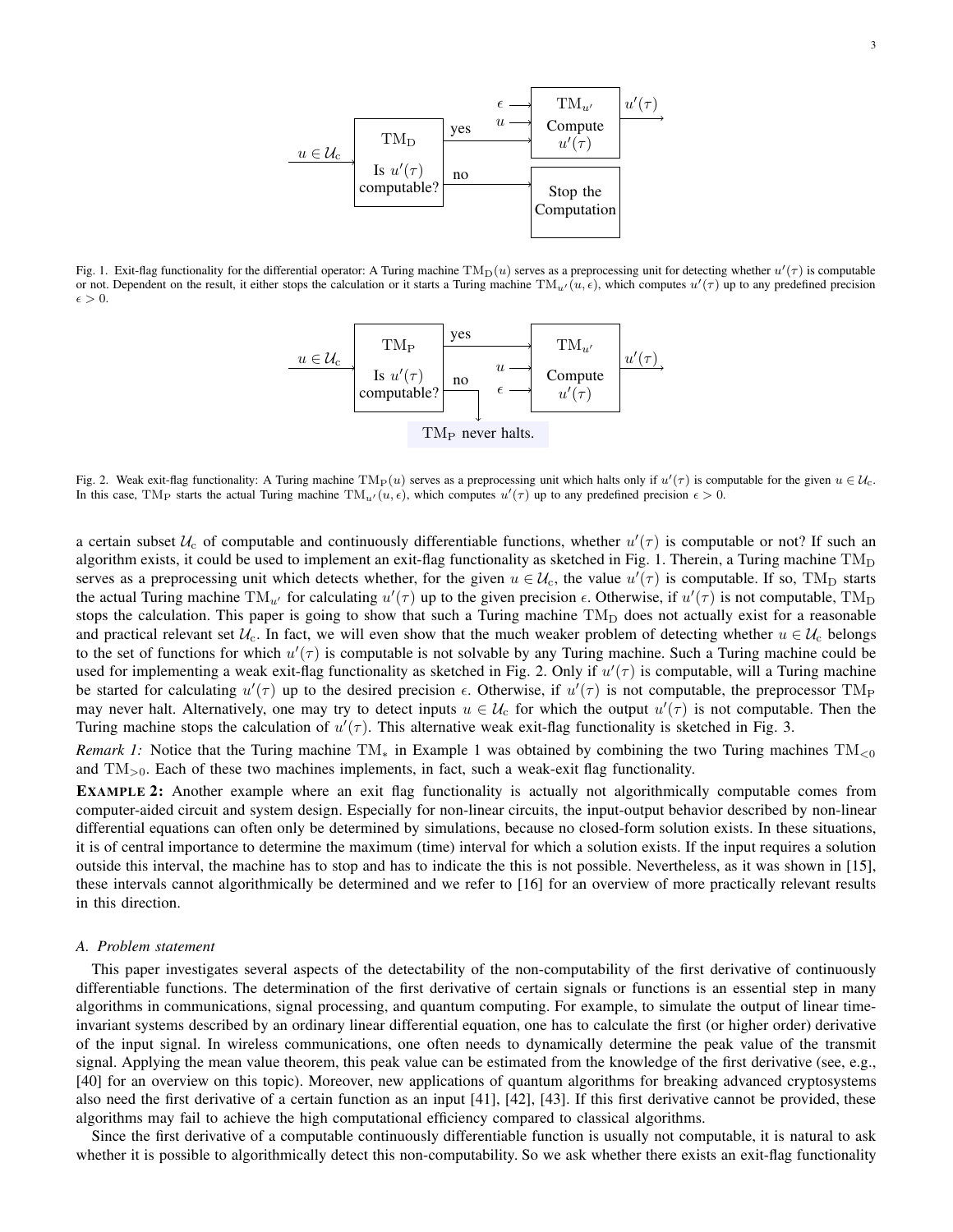

Fig. 1. Exit-flag functionality for the differential operator: A Turing machine  $TM_D(u)$  serves as a preprocessing unit for detecting whether  $u'(\tau)$  is computable or not. Dependent on the result, it either stops the calculation or it starts a Turing machine  $TM_u(i, \epsilon)$ , which computes  $u'(\tau)$  up to any predefined precision  $\epsilon > 0$ .



Fig. 2. Weak exit-flag functionality: A Turing machine  $TM_P(u)$  serves as a preprocessing unit which halts only if  $u'(\tau)$  is computable for the given  $u \in \mathcal{U}_c$ . In this case, TM<sub>P</sub> starts the actual Turing machine  $TM_u/(u, \epsilon)$ , which computes  $u'(\tau)$  up to any predefined precision  $\epsilon > 0$ .

a certain subset  $U_c$  of computable and continuously differentiable functions, whether  $u'(\tau)$  is computable or not? If such an algorithm exists, it could be used to implement an exit-flag functionality as sketched in Fig. 1. Therein, a Turing machine  $TM_D$ serves as a preprocessing unit which detects whether, for the given  $u \in \mathcal{U}_c$ , the value  $u'(\tau)$  is computable. If so, TM<sub>D</sub> starts the actual Turing machine  $TM_{u'}$  for calculating  $u'(\tau)$  up to the given precision  $\epsilon$ . Otherwise, if  $u'(\tau)$  is not computable, TM<sub>D</sub> stops the calculation. This paper is going to show that such a Turing machine  $TM_D$  does not actually exist for a reasonable and practical relevant set  $U_c$ . In fact, we will even show that the much weaker problem of detecting whether  $u \in U_c$  belongs to the set of functions for which  $u'(\tau)$  is computable is not solvable by any Turing machine. Such a Turing machine could be used for implementing a weak exit-flag functionality as sketched in Fig. 2. Only if  $u'(\tau)$  is computable, will a Turing machine be started for calculating  $u'(\tau)$  up to the desired precision  $\epsilon$ . Otherwise, if  $u'(\tau)$  is not computable, the preprocessor TM<sub>P</sub> may never halt. Alternatively, one may try to detect inputs  $u \in U_c$  for which the output  $u'(\tau)$  is not computable. Then the Turing machine stops the calculation of  $u'(\tau)$ . This alternative weak exit-flag functionality is sketched in Fig. 3.

*Remark 1:* Notice that the Turing machine  $TM_*$  in Example 1 was obtained by combining the two Turing machines  $TM_{<0}$ and  $TM_{>0}$ . Each of these two machines implements, in fact, such a weak-exit flag functionality.

EXAMPLE 2: Another example where an exit flag functionality is actually not algorithmically computable comes from computer-aided circuit and system design. Especially for non-linear circuits, the input-output behavior described by non-linear differential equations can often only be determined by simulations, because no closed-form solution exists. In these situations, it is of central importance to determine the maximum (time) interval for which a solution exists. If the input requires a solution outside this interval, the machine has to stop and has to indicate the this is not possible. Nevertheless, as it was shown in [15], these intervals cannot algorithmically be determined and we refer to [16] for an overview of more practically relevant results in this direction.

# *A. Problem statement*

This paper investigates several aspects of the detectability of the non-computability of the first derivative of continuously differentiable functions. The determination of the first derivative of certain signals or functions is an essential step in many algorithms in communications, signal processing, and quantum computing. For example, to simulate the output of linear timeinvariant systems described by an ordinary linear differential equation, one has to calculate the first (or higher order) derivative of the input signal. In wireless communications, one often needs to dynamically determine the peak value of the transmit signal. Applying the mean value theorem, this peak value can be estimated from the knowledge of the first derivative (see, e.g., [40] for an overview on this topic). Moreover, new applications of quantum algorithms for breaking advanced cryptosystems also need the first derivative of a certain function as an input [41], [42], [43]. If this first derivative cannot be provided, these algorithms may fail to achieve the high computational efficiency compared to classical algorithms.

Since the first derivative of a computable continuously differentiable function is usually not computable, it is natural to ask whether it is possible to algorithmically detect this non-computability. So we ask whether there exists an exit-flag functionality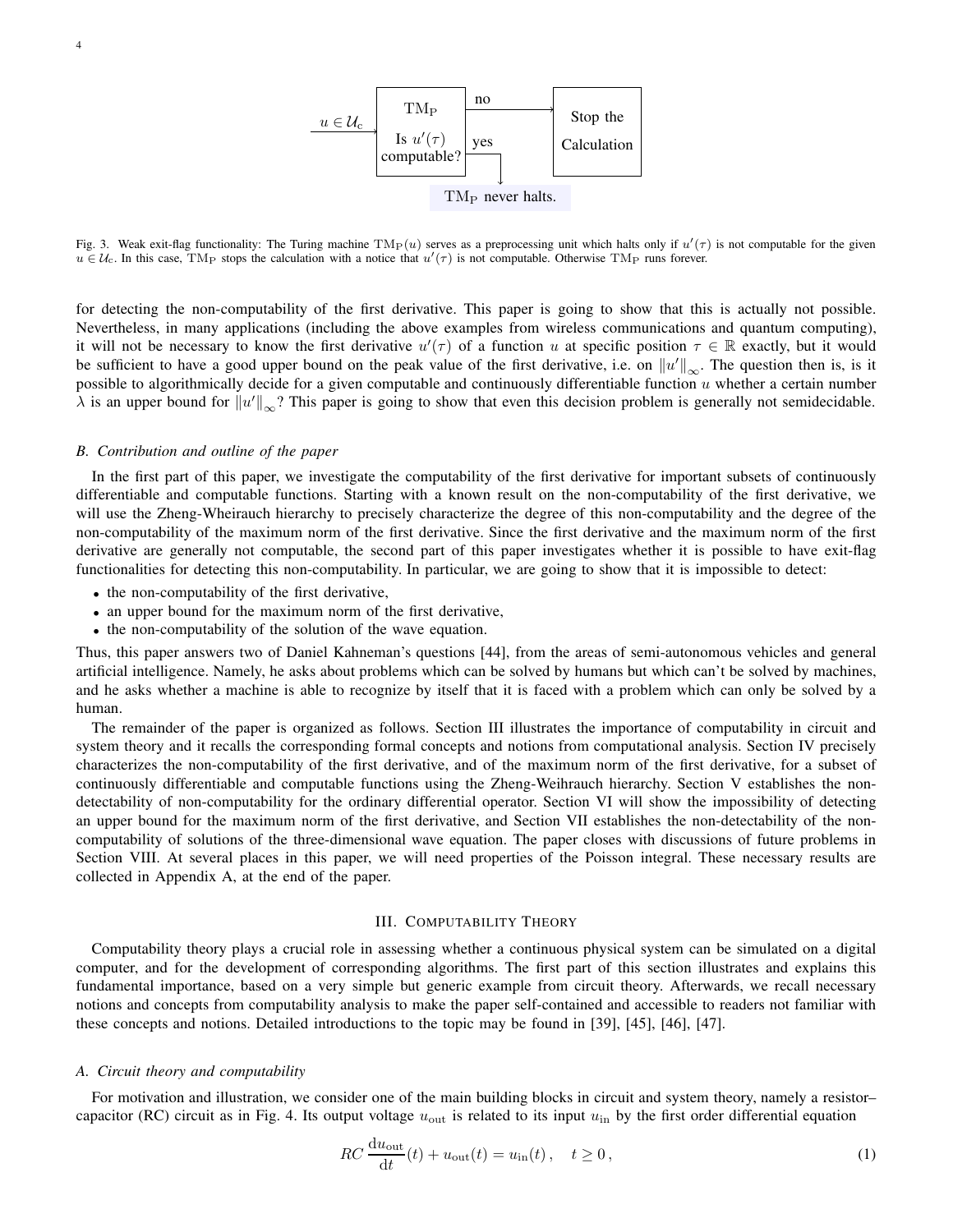

Fig. 3. Weak exit-flag functionality: The Turing machine  $TM_P(u)$  serves as a preprocessing unit which halts only if  $u'(\tau)$  is not computable for the given  $u \in \mathcal{U}_c$ . In this case, TM<sub>P</sub> stops the calculation with a notice that  $u'(\tau)$  is not computable. Otherwise TM<sub>P</sub> runs forever.

for detecting the non-computability of the first derivative. This paper is going to show that this is actually not possible. Nevertheless, in many applications (including the above examples from wireless communications and quantum computing), it will not be necessary to know the first derivative  $u'(\tau)$  of a function u at specific position  $\tau \in \mathbb{R}$  exactly, but it would be sufficient to have a good upper bound on the peak value of the first derivative, i.e. on  $||u'||_{\infty}$ . The question then is, is it possible to algorithmically decide for a given computable and continuously differentiable function  $u$  whether a certain number  $\lambda$  is an upper bound for  $||u'||_{\infty}$ ? This paper is going to show that even this decision problem is generally not semidecidable.

### *B. Contribution and outline of the paper*

In the first part of this paper, we investigate the computability of the first derivative for important subsets of continuously differentiable and computable functions. Starting with a known result on the non-computability of the first derivative, we will use the Zheng-Wheirauch hierarchy to precisely characterize the degree of this non-computability and the degree of the non-computability of the maximum norm of the first derivative. Since the first derivative and the maximum norm of the first derivative are generally not computable, the second part of this paper investigates whether it is possible to have exit-flag functionalities for detecting this non-computability. In particular, we are going to show that it is impossible to detect:

- the non-computability of the first derivative,
- an upper bound for the maximum norm of the first derivative,
- the non-computability of the solution of the wave equation.

Thus, this paper answers two of Daniel Kahneman's questions [44], from the areas of semi-autonomous vehicles and general artificial intelligence. Namely, he asks about problems which can be solved by humans but which can't be solved by machines, and he asks whether a machine is able to recognize by itself that it is faced with a problem which can only be solved by a human.

The remainder of the paper is organized as follows. Section III illustrates the importance of computability in circuit and system theory and it recalls the corresponding formal concepts and notions from computational analysis. Section IV precisely characterizes the non-computability of the first derivative, and of the maximum norm of the first derivative, for a subset of continuously differentiable and computable functions using the Zheng-Weihrauch hierarchy. Section V establishes the nondetectability of non-computability for the ordinary differential operator. Section VI will show the impossibility of detecting an upper bound for the maximum norm of the first derivative, and Section VII establishes the non-detectability of the noncomputability of solutions of the three-dimensional wave equation. The paper closes with discussions of future problems in Section VIII. At several places in this paper, we will need properties of the Poisson integral. These necessary results are collected in Appendix A, at the end of the paper.

### III. COMPUTABILITY THEORY

Computability theory plays a crucial role in assessing whether a continuous physical system can be simulated on a digital computer, and for the development of corresponding algorithms. The first part of this section illustrates and explains this fundamental importance, based on a very simple but generic example from circuit theory. Afterwards, we recall necessary notions and concepts from computability analysis to make the paper self-contained and accessible to readers not familiar with these concepts and notions. Detailed introductions to the topic may be found in [39], [45], [46], [47].

### *A. Circuit theory and computability*

For motivation and illustration, we consider one of the main building blocks in circuit and system theory, namely a resistor– capacitor (RC) circuit as in Fig. 4. Its output voltage  $u_{\text{out}}$  is related to its input  $u_{\text{in}}$  by the first order differential equation

$$
RC\frac{du_{\text{out}}}{dt}(t) + u_{\text{out}}(t) = u_{\text{in}}(t), \quad t \ge 0,
$$
\n(1)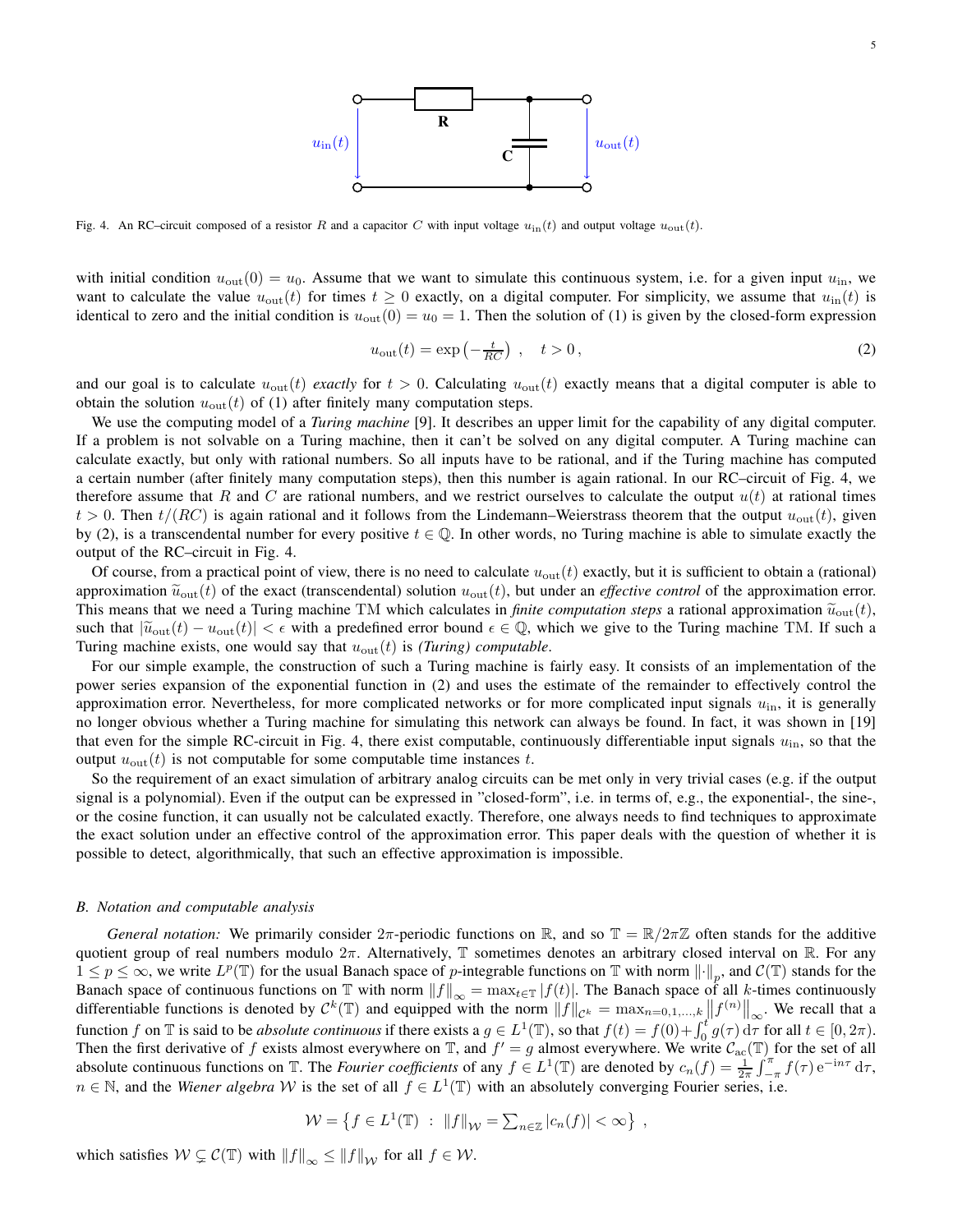

Fig. 4. An RC–circuit composed of a resistor R and a capacitor C with input voltage  $u_{in}(t)$  and output voltage  $u_{out}(t)$ .

with initial condition  $u_{\text{out}}(0) = u_0$ . Assume that we want to simulate this continuous system, i.e. for a given input  $u_{\text{in}}$ , we want to calculate the value  $u_{\text{out}}(t)$  for times  $t \ge 0$  exactly, on a digital computer. For simplicity, we assume that  $u_{\text{in}}(t)$  is identical to zero and the initial condition is  $u_{\text{out}}(0) = u_0 = 1$ . Then the solution of (1) is given by the closed-form expression

$$
u_{\text{out}}(t) = \exp\left(-\frac{t}{RC}\right) , \quad t > 0, \tag{2}
$$

and our goal is to calculate  $u_{\text{out}}(t)$  *exactly* for  $t > 0$ . Calculating  $u_{\text{out}}(t)$  exactly means that a digital computer is able to obtain the solution  $u_{\text{out}}(t)$  of (1) after finitely many computation steps.

We use the computing model of a *Turing machine* [9]. It describes an upper limit for the capability of any digital computer. If a problem is not solvable on a Turing machine, then it can't be solved on any digital computer. A Turing machine can calculate exactly, but only with rational numbers. So all inputs have to be rational, and if the Turing machine has computed a certain number (after finitely many computation steps), then this number is again rational. In our RC–circuit of Fig. 4, we therefore assume that R and C are rational numbers, and we restrict ourselves to calculate the output  $u(t)$  at rational times  $t > 0$ . Then  $t/(RC)$  is again rational and it follows from the Lindemann–Weierstrass theorem that the output  $u_{\text{out}}(t)$ , given by (2), is a transcendental number for every positive  $t \in \mathbb{Q}$ . In other words, no Turing machine is able to simulate exactly the output of the RC–circuit in Fig. 4.

Of course, from a practical point of view, there is no need to calculate  $u_{\text{out}}(t)$  exactly, but it is sufficient to obtain a (rational) approximation  $\tilde{u}_{\text{out}}(t)$  of the exact (transcendental) solution  $u_{\text{out}}(t)$ , but under an *effective control* of the approximation error. This means that we need a Turing machine TM which calculates in *finite computation steps* a rational approximation  $\tilde{u}_{\text{out}}(t)$ , such that  $|\tilde{u}_{\text{out}}(t) - u_{\text{out}}(t)| < \epsilon$  with a predefined error bound  $\epsilon \in \mathbb{Q}$ , which we give to the Turing machine TM. If such a Turing machine exists, one would say that  $u_{\text{out}}(t)$  is *(Turing) computable*.

For our simple example, the construction of such a Turing machine is fairly easy. It consists of an implementation of the power series expansion of the exponential function in (2) and uses the estimate of the remainder to effectively control the approximation error. Nevertheless, for more complicated networks or for more complicated input signals  $u_{in}$ , it is generally no longer obvious whether a Turing machine for simulating this network can always be found. In fact, it was shown in [19] that even for the simple RC-circuit in Fig. 4, there exist computable, continuously differentiable input signals  $u_{\text{in}}$ , so that the output  $u_{\text{out}}(t)$  is not computable for some computable time instances t.

So the requirement of an exact simulation of arbitrary analog circuits can be met only in very trivial cases (e.g. if the output signal is a polynomial). Even if the output can be expressed in "closed-form", i.e. in terms of, e.g., the exponential-, the sine-, or the cosine function, it can usually not be calculated exactly. Therefore, one always needs to find techniques to approximate the exact solution under an effective control of the approximation error. This paper deals with the question of whether it is possible to detect, algorithmically, that such an effective approximation is impossible.

### *B. Notation and computable analysis*

*General notation:* We primarily consider  $2\pi$ -periodic functions on R, and so  $\mathbb{T} = \mathbb{R}/2\pi\mathbb{Z}$  often stands for the additive quotient group of real numbers modulo  $2\pi$ . Alternatively, T sometimes denotes an arbitrary closed interval on R. For any  $1 \leq p \leq \infty$ , we write  $L^p(\mathbb{T})$  for the usual Banach space of *p*-integrable functions on  $\mathbb{T}$  with norm  $\|\cdot\|_p$ , and  $\mathcal{C}(\mathbb{T})$  stands for the Banach space of continuous functions on T with norm  $||f||_{\infty} = \max_{t \in \mathbb{T}} |f(t)|$ . The Banach space of all k-times continuously differentiable functions is denoted by  $\mathcal{C}^k(\mathbb{T})$  and equipped with the norm  $||f||_{\mathcal{C}^k} = \max_{n=0,1,\dots,k} ||f^{(n)}||_{\infty}$ . We recall that a function f on T is said to be *absolute continuous* if there exists a  $g \in L^1(\mathbb{T})$ , so that  $f(t) = f(0) + \int_0^t g(\tau) d\tau$  for all  $t \in [0, 2\pi)$ . Then the first derivative of f exists almost everywhere on  $\mathbb T$ , and  $f' = g$  almost everywhere. We write  $C_{\text{ac}}(\mathbb T)$  for the set of all absolute continuous functions on  $\mathbb{T}$ . The *Fourier coefficients* of any  $f \in L^1(\mathbb{T})$  are denoted by  $c_n(f) = \frac{1}{2\pi} \int_{-\pi}^{\pi} f(\tau) e^{-in\tau} d\tau$ ,  $n \in \mathbb{N}$ , and the *Wiener algebra* W is the set of all  $f \in L^1(\mathbb{T})$  with an absolutely converging Fourier series, i.e.

$$
\mathcal{W} = \left\{ f \in L^1(\mathbb{T}) \ : \ \|f\|_{\mathcal{W}} = \sum_{n \in \mathbb{Z}} |c_n(f)| < \infty \right\} \ ,
$$

which satisfies  $W \subsetneq \mathcal{C}(\mathbb{T})$  with  $||f||_{\infty} \leq ||f||_{\mathcal{W}}$  for all  $f \in \mathcal{W}$ .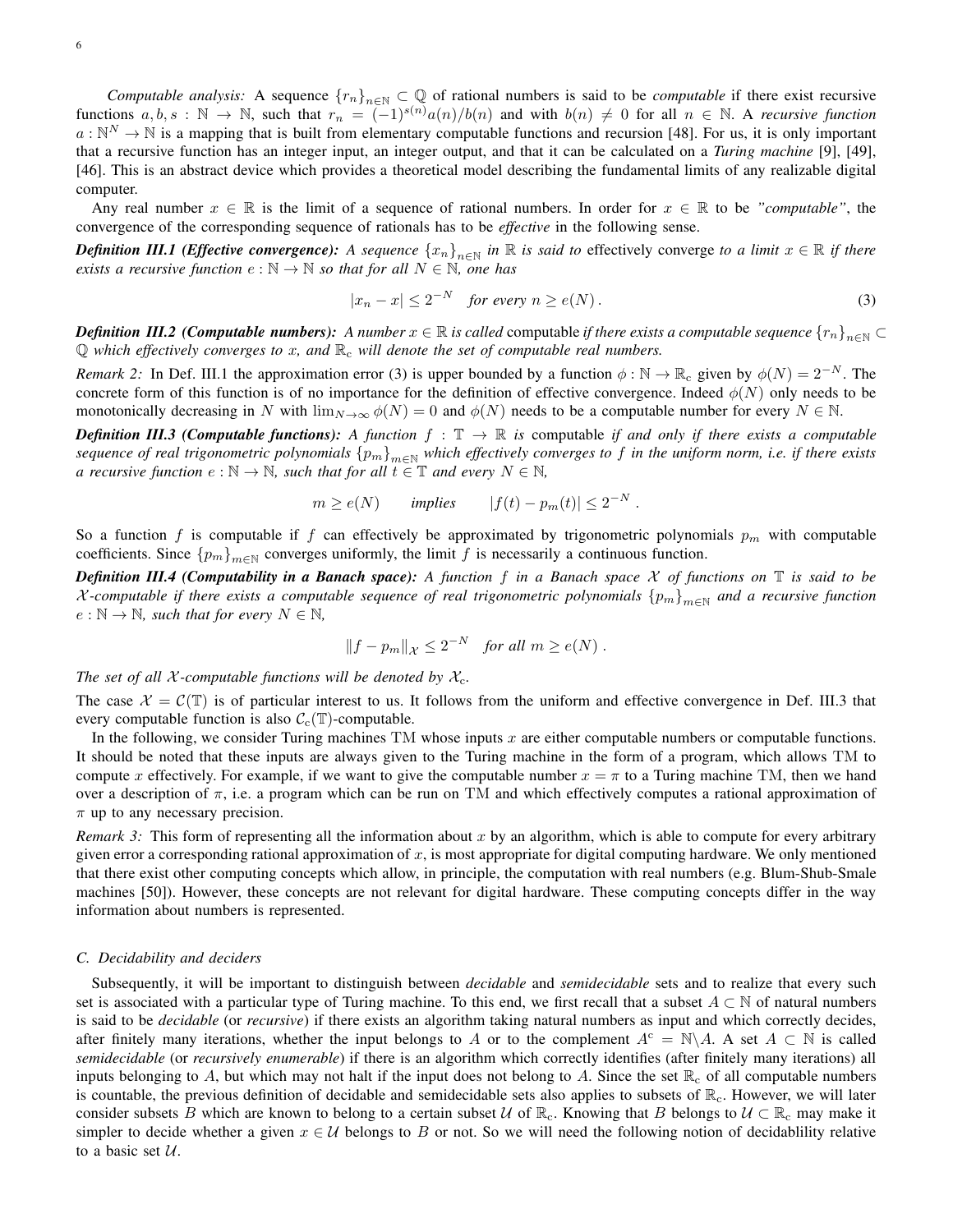*Computable analysis:* A sequence  ${r_n}_{n\in\mathbb{N}} \subset \mathbb{Q}$  of rational numbers is said to be *computable* if there exist recursive functions  $a, b, s : \mathbb{N} \to \mathbb{N}$ , such that  $r_n = (-1)^{s(n)} a(n)/b(n)$  and with  $b(n) \neq 0$  for all  $n \in \mathbb{N}$ . A *recursive function*  $a:\mathbb{N}^N\to\mathbb{N}$  is a mapping that is built from elementary computable functions and recursion [48]. For us, it is only important that a recursive function has an integer input, an integer output, and that it can be calculated on a *Turing machine* [9], [49], [46]. This is an abstract device which provides a theoretical model describing the fundamental limits of any realizable digital computer.

Any real number  $x \in \mathbb{R}$  is the limit of a sequence of rational numbers. In order for  $x \in \mathbb{R}$  to be *"computable"*, the convergence of the corresponding sequence of rationals has to be *effective* in the following sense.

*Definition III.1 (Effective convergence):* A sequence  $\{x_n\}_{n\in\mathbb{N}}$  in  $\mathbb R$  is said to effectively converge to a limit  $x\in\mathbb R$  if there *exists a recursive function*  $e : \mathbb{N} \to \mathbb{N}$  *so that for all*  $N \in \mathbb{N}$ *, one has* 

$$
|x_n - x| \le 2^{-N} \quad \text{for every } n \ge e(N). \tag{3}
$$

*Definition III.2 (Computable numbers): A number*  $x \in \mathbb{R}$  *is called* computable *if there exists a computable sequence*  $\{r_n\}_{n\in\mathbb{N}} \subset$ Q *which effectively converges to* x*, and* R<sup>c</sup> *will denote the set of computable real numbers.*

*Remark 2:* In Def. III.1 the approximation error (3) is upper bounded by a function  $\phi : \mathbb{N} \to \mathbb{R}_c$  given by  $\phi(N) = 2^{-N}$ . The concrete form of this function is of no importance for the definition of effective convergence. Indeed  $\phi(N)$  only needs to be monotonically decreasing in N with  $\lim_{N\to\infty}\phi(N)=0$  and  $\phi(N)$  needs to be a computable number for every  $N\in\mathbb{N}$ .

*Definition III.3 (Computable functions):* A function  $f : \mathbb{T} \to \mathbb{R}$  is computable if and only if there exists a computable *sequence of real trigonometric polynomials*  ${p_m}_{m∈N}$  *which effectively converges to f in the uniform norm, i.e. if there exists a recursive function*  $e : \mathbb{N} \to \mathbb{N}$ *, such that for all*  $t \in \mathbb{T}$  *and every*  $N \in \mathbb{N}$ *,* 

$$
m \ge e(N)
$$
 implies  $|f(t) - p_m(t)| \le 2^{-N}$ .

So a function f is computable if f can effectively be approximated by trigonometric polynomials  $p_m$  with computable coefficients. Since  ${p_m}_{m\in\mathbb{N}}$  converges uniformly, the limit f is necessarily a continuous function.

*Definition III.4 (Computability in a Banach space): A function* f *in a Banach space* X *of functions on* T *is said to be*  $\mathcal X$ -computable if there exists a computable sequence of real trigonometric polynomials  $\{p_m\}_{m\in\mathbb N}$  and a recursive function  $e : \mathbb{N} \to \mathbb{N}$ *, such that for every*  $N \in \mathbb{N}$ *,* 

$$
||f - p_m||_{\mathcal{X}} \leq 2^{-N} \quad for all m \geq e(N).
$$

*The set of all X-computable functions will be denoted by*  $X_c$ *.* 

The case  $\mathcal{X} = \mathcal{C}(\mathbb{T})$  is of particular interest to us. It follows from the uniform and effective convergence in Def. III.3 that every computable function is also  $C_c(\mathbb{T})$ -computable.

In the following, we consider Turing machines TM whose inputs x are either computable numbers or computable functions. It should be noted that these inputs are always given to the Turing machine in the form of a program, which allows TM to compute x effectively. For example, if we want to give the computable number  $x = \pi$  to a Turing machine TM, then we hand over a description of  $\pi$ , i.e. a program which can be run on TM and which effectively computes a rational approximation of  $\pi$  up to any necessary precision.

*Remark 3:* This form of representing all the information about x by an algorithm, which is able to compute for every arbitrary given error a corresponding rational approximation of  $x$ , is most appropriate for digital computing hardware. We only mentioned that there exist other computing concepts which allow, in principle, the computation with real numbers (e.g. Blum-Shub-Smale machines [50]). However, these concepts are not relevant for digital hardware. These computing concepts differ in the way information about numbers is represented.

## *C. Decidability and deciders*

Subsequently, it will be important to distinguish between *decidable* and *semidecidable* sets and to realize that every such set is associated with a particular type of Turing machine. To this end, we first recall that a subset  $A \subset \mathbb{N}$  of natural numbers is said to be *decidable* (or *recursive*) if there exists an algorithm taking natural numbers as input and which correctly decides, after finitely many iterations, whether the input belongs to A or to the complement  $A^c = \mathbb{N} \backslash A$ . A set  $A \subset \mathbb{N}$  is called *semidecidable* (or *recursively enumerable*) if there is an algorithm which correctly identifies (after finitely many iterations) all inputs belonging to A, but which may not halt if the input does not belong to A. Since the set  $\mathbb{R}_c$  of all computable numbers is countable, the previous definition of decidable and semidecidable sets also applies to subsets of  $\mathbb{R}_c$ . However, we will later consider subsets B which are known to belong to a certain subset U of  $\mathbb{R}_c$ . Knowing that B belongs to  $U \subset \mathbb{R}_c$  may make it simpler to decide whether a given  $x \in U$  belongs to B or not. So we will need the following notion of decidability relative to a basic set  $U$ .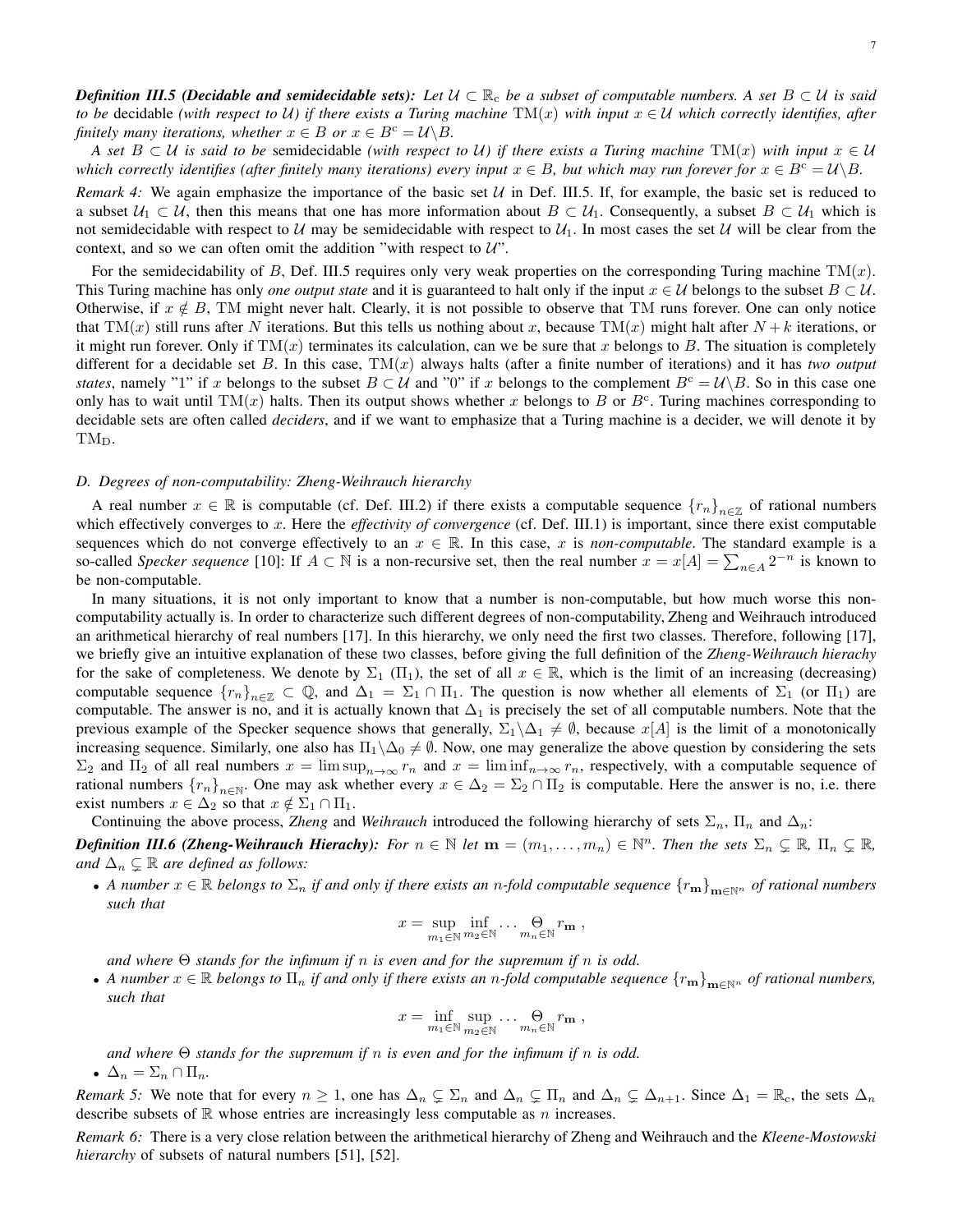*Definition III.5 (Decidable and semidecidable sets):* Let  $U \subset \mathbb{R}_c$  be a subset of computable numbers. A set  $B \subset U$  is said *to be* decidable *(with respect to U) if there exists a Turing machine*  $TM(x)$  *with input*  $x \in U$  *which correctly identifies, after finitely many iterations, whether*  $x \in B$  *or*  $x \in B^c = \mathcal{U} \backslash B$ .

*A set*  $B \subset U$  *is said to be semidecidable (with respect to U) if there exists a Turing machine*  $TM(x)$  *with input*  $x \in U$ *which correctly identifies (after finitely many iterations) every input*  $x \in B$ *, but which may run forever for*  $x \in B^c = \mathcal{U} \backslash B$ *.* 

*Remark 4:* We again emphasize the importance of the basic set  $U$  in Def. III.5. If, for example, the basic set is reduced to a subset  $U_1 \subset U$ , then this means that one has more information about  $B \subset U_1$ . Consequently, a subset  $B \subset U_1$  which is not semidecidable with respect to U may be semidecidable with respect to  $U_1$ . In most cases the set U will be clear from the context, and so we can often omit the addition "with respect to  $U$ ".

For the semidecidability of B, Def. III.5 requires only very weak properties on the corresponding Turing machine  $TM(x)$ . This Turing machine has only *one output state* and it is guaranteed to halt only if the input  $x \in U$  belongs to the subset  $B \subset U$ . Otherwise, if  $x \notin B$ , TM might never halt. Clearly, it is not possible to observe that TM runs forever. One can only notice that TM(x) still runs after N iterations. But this tells us nothing about x, because TM(x) might halt after  $N + k$  iterations, or it might run forever. Only if  $TM(x)$  terminates its calculation, can we be sure that x belongs to B. The situation is completely different for a decidable set  $B$ . In this case,  $TM(x)$  always halts (after a finite number of iterations) and it has *two output states*, namely "1" if x belongs to the subset  $B \subset U$  and "0" if x belongs to the complement  $B^c = U\setminus B$ . So in this case one only has to wait until TM $(x)$  halts. Then its output shows whether x belongs to B or  $B^c$ . Turing machines corresponding to decidable sets are often called *deciders*, and if we want to emphasize that a Turing machine is a decider, we will denote it by TM<sub>D</sub>.

### *D. Degrees of non-computability: Zheng-Weihrauch hierarchy*

A real number  $x \in \mathbb{R}$  is computable (cf. Def. III.2) if there exists a computable sequence  ${r_n}_{n \in \mathbb{Z}}$  of rational numbers which effectively converges to x. Here the *effectivity of convergence* (cf. Def. III.1) is important, since there exist computable sequences which do not converge effectively to an  $x \in \mathbb{R}$ . In this case, x is *non-computable*. The standard example is a so-called *Specker sequence* [10]: If  $A \subset \mathbb{N}$  is a non-recursive set, then the real number  $x = x[A] = \sum_{n \in A} 2^{-n}$  is known to be non-computable.

In many situations, it is not only important to know that a number is non-computable, but how much worse this noncomputability actually is. In order to characterize such different degrees of non-computability, Zheng and Weihrauch introduced an arithmetical hierarchy of real numbers [17]. In this hierarchy, we only need the first two classes. Therefore, following [17], we briefly give an intuitive explanation of these two classes, before giving the full definition of the *Zheng-Weihrauch hierachy* for the sake of completeness. We denote by  $\Sigma_1$  ( $\Pi_1$ ), the set of all  $x \in \mathbb{R}$ , which is the limit of an increasing (decreasing) computable sequence  ${r_n}_{n \in \mathbb{Z}} \subset \mathbb{Q}$ , and  $\Delta_1 = \Sigma_1 \cap \Pi_1$ . The question is now whether all elements of  $\Sigma_1$  (or  $\Pi_1$ ) are computable. The answer is no, and it is actually known that  $\Delta_1$  is precisely the set of all computable numbers. Note that the previous example of the Specker sequence shows that generally,  $\Sigma_1 \backslash \Delta_1 \neq \emptyset$ , because  $x[A]$  is the limit of a monotonically increasing sequence. Similarly, one also has  $\Pi_1\backslash \Delta_0 \neq \emptyset$ . Now, one may generalize the above question by considering the sets  $\Sigma_2$  and  $\Pi_2$  of all real numbers  $x = \limsup_{n \to \infty} r_n$  and  $x = \liminf_{n \to \infty} r_n$ , respectively, with a computable sequence of rational numbers  ${r_n}_{n\in\mathbb{N}}$ . One may ask whether every  $x \in \Delta_2 = \Sigma_2 \cap \Pi_2$  is computable. Here the answer is no, i.e. there exist numbers  $x \in \Delta_2$  so that  $x \notin \Sigma_1 \cap \Pi_1$ .

Continuing the above process, *Zheng* and *Weihrauch* introduced the following hierarchy of sets  $\Sigma_n$ ,  $\Pi_n$  and  $\Delta_n$ :

*Definition III.6 (Zheng-Weihrauch Hierachy): For*  $n \in \mathbb{N}$  *let*  $m = (m_1, \ldots, m_n) \in \mathbb{N}^n$ *. Then the sets*  $\Sigma_n \subsetneq \mathbb{R}$ *,*  $\Pi_n \subsetneq \mathbb{R}$ *, and*  $\Delta_n \subsetneq \mathbb{R}$  *are defined as follows:* 

• *A number*  $x \in \mathbb{R}$  *belongs to*  $\Sigma_n$  *if and only if there exists an n-fold computable sequence*  $\{r_m\}_{m\in\mathbb{N}^n}$  *of rational numbers such that*

$$
x=\sup_{m_1\in\mathbb{N}}\inf_{m_2\in\mathbb{N}}\ldots\bigoplus_{m_n\in\mathbb{N}}r_{\mathbf{m}},
$$

*and where* Θ *stands for the infimum if* n *is even and for the supremum if* n *is odd.*

• *A number*  $x \in \mathbb{R}$  *belongs to*  $\Pi_n$  *if and only if there exists an n-fold computable sequence*  $\{r_m\}_{m\in\mathbb{N}^n}$  *of rational numbers, such that*

$$
x=\inf_{m_1\in\mathbb{N}}\sup_{m_2\in\mathbb{N}}\ldots\bigoplus_{m_n\in\mathbb{N}}r_{\mathbf{m}},
$$

*and where* Θ *stands for the supremum if* n *is even and for the infimum if* n *is odd.*

•  $\Delta_n = \Sigma_n \cap \Pi_n$ .

*Remark 5:* We note that for every  $n \geq 1$ , one has  $\Delta_n \subsetneq \Sigma_n$  and  $\Delta_n \subsetneq \Pi_n$  and  $\Delta_n \subsetneq \Delta_{n+1}$ . Since  $\Delta_1 = \mathbb{R}_c$ , the sets  $\Delta_n$ describe subsets of  $\mathbb R$  whose entries are increasingly less computable as n increases.

*Remark 6:* There is a very close relation between the arithmetical hierarchy of Zheng and Weihrauch and the *Kleene-Mostowski hierarchy* of subsets of natural numbers [51], [52].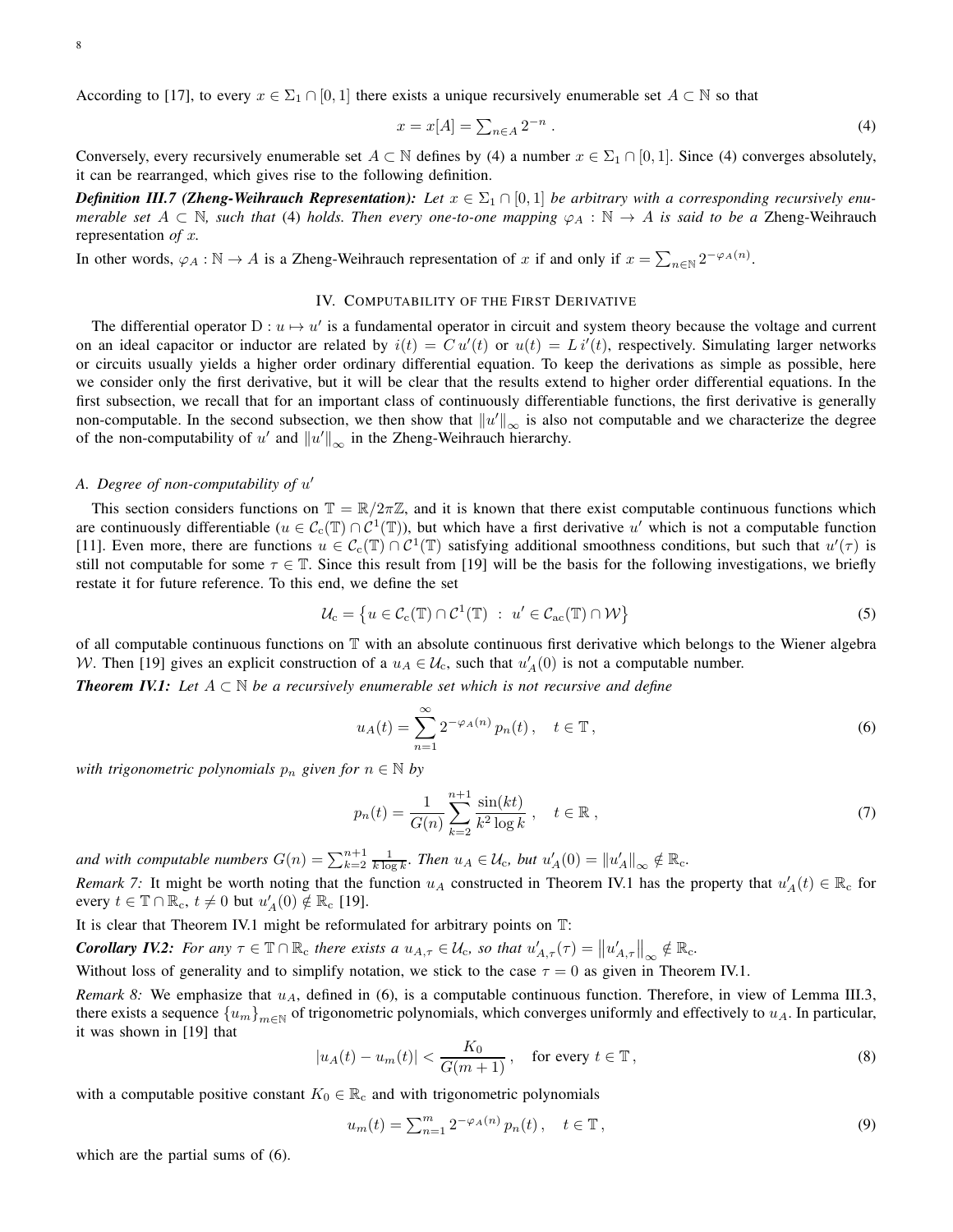According to [17], to every  $x \in \Sigma_1 \cap [0,1]$  there exists a unique recursively enumerable set  $A \subset \mathbb{N}$  so that

$$
x = x[A] = \sum_{n \in A} 2^{-n} . \tag{4}
$$

Conversely, every recursively enumerable set  $A \subset \mathbb{N}$  defines by (4) a number  $x \in \Sigma_1 \cap [0,1]$ . Since (4) converges absolutely, it can be rearranged, which gives rise to the following definition.

*Definition III.7 (Zheng-Weihrauch Representation): Let*  $x \in \Sigma_1 \cap [0,1]$  *be arbitrary with a corresponding recursively enumerable set*  $A \subset \mathbb{N}$ , such that (4) *holds. Then every one-to-one mapping*  $\varphi_A : \mathbb{N} \to A$  *is said to be a Zheng-Weihrauch* representation *of* x*.*

In other words,  $\varphi_A : \mathbb{N} \to A$  is a Zheng-Weihrauch representation of x if and only if  $x = \sum_{n \in \mathbb{N}} 2^{-\varphi_A(n)}$ .

### IV. COMPUTABILITY OF THE FIRST DERIVATIVE

The differential operator  $D: u \mapsto u'$  is a fundamental operator in circuit and system theory because the voltage and current on an ideal capacitor or inductor are related by  $i(t) = Cu'(t)$  or  $u(t) = Li'(t)$ , respectively. Simulating larger networks or circuits usually yields a higher order ordinary differential equation. To keep the derivations as simple as possible, here we consider only the first derivative, but it will be clear that the results extend to higher order differential equations. In the first subsection, we recall that for an important class of continuously differentiable functions, the first derivative is generally non-computable. In the second subsection, we then show that  $||u'||_{\infty}$  is also not computable and we characterize the degree of the non-computability of u' and  $||u'||_{\infty}$  in the Zheng-Weihrauch hierarchy.

# *A. Degree of non-computability of* u ′

This section considers functions on  $\mathbb{T} = \mathbb{R}/2\pi\mathbb{Z}$ , and it is known that there exist computable continuous functions which are continuously differentiable ( $u \in C_c(\mathbb{T}) \cap C^1(\mathbb{T})$ ), but which have a first derivative  $u'$  which is not a computable function [11]. Even more, there are functions  $u \in C_c(\mathbb{T}) \cap C^1(\mathbb{T})$  satisfying additional smoothness conditions, but such that  $u'(\tau)$  is still not computable for some  $\tau \in \mathbb{T}$ . Since this result from [19] will be the basis for the following investigations, we briefly restate it for future reference. To this end, we define the set

$$
\mathcal{U}_{\mathbf{c}} = \left\{ u \in \mathcal{C}_{\mathbf{c}}(\mathbb{T}) \cap \mathcal{C}^{1}(\mathbb{T}) \ : \ u' \in \mathcal{C}_{\mathbf{ac}}(\mathbb{T}) \cap \mathcal{W} \right\}
$$
(5)

of all computable continuous functions on T with an absolute continuous first derivative which belongs to the Wiener algebra W. Then [19] gives an explicit construction of a  $u_A \in \mathcal{U}_c$ , such that  $u'_A(0)$  is not a computable number.

*Theorem IV.1: Let* A ⊂ N *be a recursively enumerable set which is not recursive and define*

$$
u_A(t) = \sum_{n=1}^{\infty} 2^{-\varphi_A(n)} p_n(t), \quad t \in \mathbb{T},
$$
\n<sup>(6)</sup>

*with trigonometric polynomials*  $p_n$  *given for*  $n \in \mathbb{N}$  *by* 

$$
p_n(t) = \frac{1}{G(n)} \sum_{k=2}^{n+1} \frac{\sin(kt)}{k^2 \log k}, \quad t \in \mathbb{R},
$$
 (7)

and with computable numbers  $G(n) = \sum_{k=2}^{n+1} \frac{1}{k \log k}$ . Then  $u_A \in \mathcal{U}_c$ , but  $u'_A(0) = ||u'_A||_{\infty} \notin \mathbb{R}_c$ .

*Remark 7:* It might be worth noting that the function  $u_A$  constructed in Theorem IV.1 has the property that  $u'_A(t) \in \mathbb{R}_c$  for every  $t \in \mathbb{T} \cap \mathbb{R}_{c}$ ,  $t \neq 0$  but  $u'_{A}(0) \notin \mathbb{R}_{c}$  [19].

It is clear that Theorem IV.1 might be reformulated for arbitrary points on T:

*Corollary IV.2: For any*  $\tau \in \mathbb{T} \cap \mathbb{R}_c$  *there exists a*  $u_{A,\tau} \in \mathcal{U}_c$ *, so that*  $u'_{A,\tau}(\tau) = ||u'_{A,\tau}||_{\infty} \notin \mathbb{R}_c$ *.* 

Without loss of generality and to simplify notation, we stick to the case  $\tau = 0$  as given in Theorem IV.1.

*Remark 8:* We emphasize that  $u_A$ , defined in (6), is a computable continuous function. Therefore, in view of Lemma III.3, there exists a sequence  ${u_m}_{m\in\mathbb{N}}$  of trigonometric polynomials, which converges uniformly and effectively to  $u_A$ . In particular, it was shown in [19] that

$$
|u_A(t) - u_m(t)| < \frac{K_0}{G(m+1)}, \quad \text{for every } t \in \mathbb{T},\tag{8}
$$

with a computable positive constant  $K_0 \in \mathbb{R}_c$  and with trigonometric polynomials

$$
u_m(t) = \sum_{n=1}^m 2^{-\varphi_A(n)} p_n(t), \quad t \in \mathbb{T},
$$
\n(9)

which are the partial sums of (6).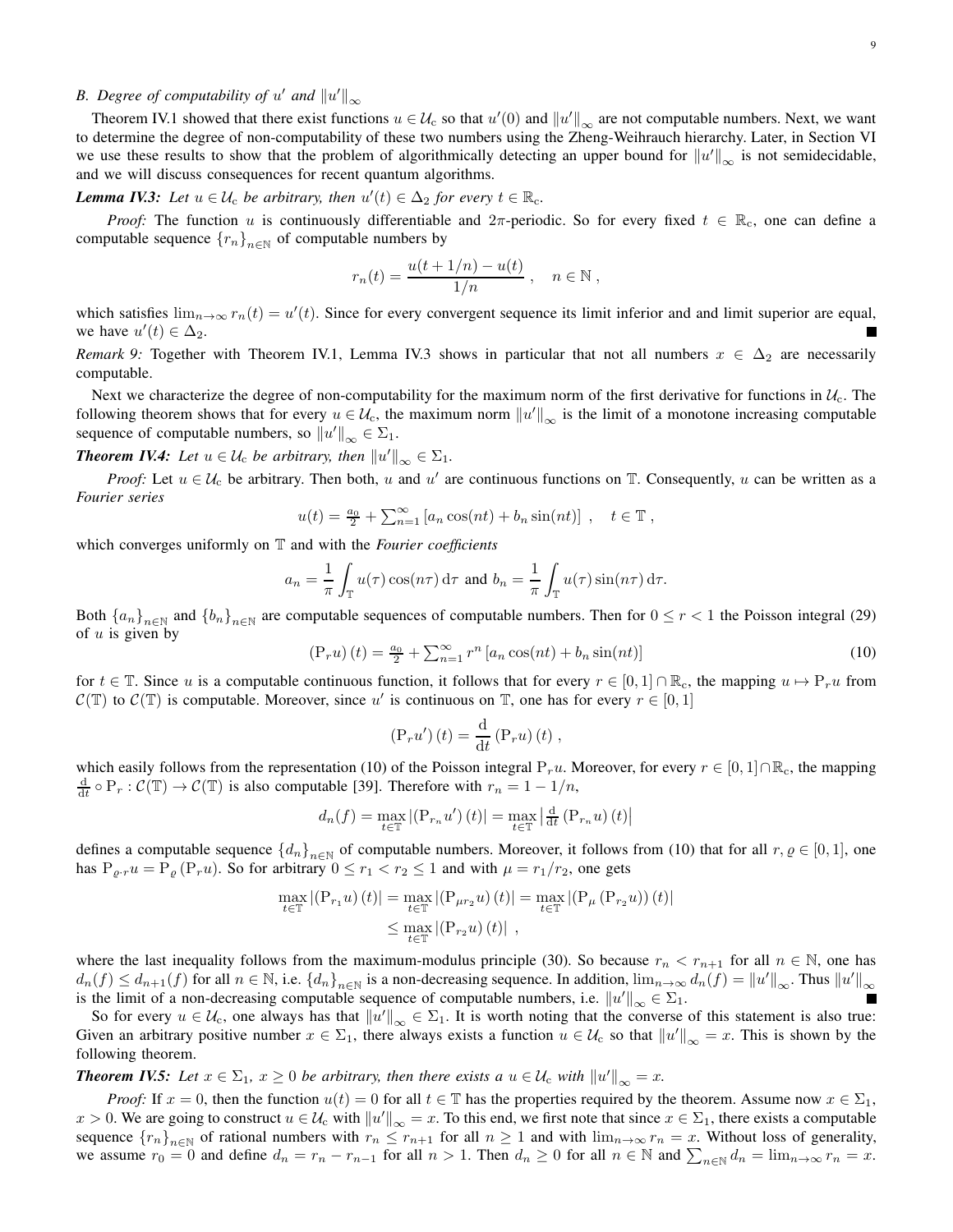# *B. Degree of computability of u' and*  $||u'||_{\infty}$

Theorem IV.1 showed that there exist functions  $u \in \mathcal{U}_c$  so that  $u'(0)$  and  $||u'||_{\infty}$  are not computable numbers. Next, we want to determine the degree of non-computability of these two numbers using the Zheng-Weihrauch hierarchy. Later, in Section VI we use these results to show that the problem of algorithmically detecting an upper bound for  $||u'||_{\infty}$  is not semidecidable, and we will discuss consequences for recent quantum algorithms.

*Lemma IV.3: Let*  $u \in \mathcal{U}_c$  *be arbitrary, then*  $u'(t) \in \Delta_2$  *for every*  $t \in \mathbb{R}_c$ *.* 

*Proof:* The function u is continuously differentiable and  $2\pi$ -periodic. So for every fixed  $t \in \mathbb{R}_c$ , one can define a computable sequence  ${r_n}_{n\in\mathbb{N}}$  of computable numbers by

$$
r_n(t) = \frac{u(t+1/n) - u(t)}{1/n}, \quad n \in \mathbb{N},
$$

which satisfies  $\lim_{n\to\infty} r_n(t) = u'(t)$ . Since for every convergent sequence its limit inferior and and limit superior are equal, we have  $u'(t) \in \Delta_2$ .

*Remark 9:* Together with Theorem IV.1, Lemma IV.3 shows in particular that not all numbers  $x \in \Delta_2$  are necessarily computable.

Next we characterize the degree of non-computability for the maximum norm of the first derivative for functions in  $\mathcal{U}_c$ . The following theorem shows that for every  $u \in \mathcal{U}_c$ , the maximum norm  $||u'||_{\infty}$  is the limit of a monotone increasing computable sequence of computable numbers, so  $||u'||_{\infty} \in \Sigma_1$ .

**Theorem IV.4:** Let  $u \in \mathcal{U}_c$  be arbitrary, then  $||u'||_{\infty} \in \Sigma_1$ .

*Proof:* Let  $u \in \mathcal{U}_c$  be arbitrary. Then both, u and u' are continuous functions on  $\mathbb{T}$ . Consequently, u can be written as a *Fourier series*

$$
u(t) = \frac{a_0}{2} + \sum_{n=1}^{\infty} [a_n \cos(nt) + b_n \sin(nt)], \quad t \in \mathbb{T},
$$

which converges uniformly on T and with the *Fourier coefficients*

$$
a_n = \frac{1}{\pi} \int_{\mathbb{T}} u(\tau) \cos(n\tau) d\tau \text{ and } b_n = \frac{1}{\pi} \int_{\mathbb{T}} u(\tau) \sin(n\tau) d\tau.
$$

Both  ${a_n}_{n\in\mathbb{N}}$  and  ${b_n}_{n\in\mathbb{N}}$  are computable sequences of computable numbers. Then for  $0 \le r < 1$  the Poisson integral (29) of  $u$  is given by

$$
\left(\mathbf{P}_{r}u\right)\left(t\right) = \frac{a_{0}}{2} + \sum_{n=1}^{\infty} r^{n} \left[a_{n} \cos(nt) + b_{n} \sin(nt)\right]
$$
\n<sup>(10)</sup>

for  $t \in \mathbb{T}$ . Since u is a computable continuous function, it follows that for every  $r \in [0,1] \cap \mathbb{R}_c$ , the mapping  $u \mapsto P_r u$  from  $\mathcal{C}(\mathbb{T})$  to  $\mathcal{C}(\mathbb{T})$  is computable. Moreover, since u' is continuous on  $\mathbb{T}$ , one has for every  $r \in [0,1]$ 

$$
\left(\mathbf{P}_{r}u'\right)(t) = \frac{\mathrm{d}}{\mathrm{d}t}\left(\mathbf{P}_{r}u\right)(t) ,
$$

which easily follows from the representation (10) of the Poisson integral P<sub>r</sub>u. Moreover, for every  $r \in [0,1] \cap \mathbb{R}_{c}$ , the mapping  $\frac{d}{dt} \circ P_r : C(\mathbb{T}) \to C(\mathbb{T})$  is also computable [39]. Therefore with  $r_n = 1 - 1/n$ ,

$$
d_n(f) = \max_{t \in \mathbb{T}} |(\mathbf{P}_{r_n} u') (t)| = \max_{t \in \mathbb{T}} \left| \frac{\mathrm{d}}{\mathrm{d}t} (\mathbf{P}_{r_n} u) (t) \right|
$$

defines a computable sequence  $\{d_n\}_{n\in\mathbb{N}}$  of computable numbers. Moreover, it follows from (10) that for all  $r, \varrho \in [0,1]$ , one has  $P_{\varrho r}u = P_{\varrho}(P_r u)$ . So for arbitrary  $0 \le r_1 < r_2 \le 1$  and with  $\mu = r_1/r_2$ , one gets

$$
\max_{t \in \mathbb{T}} | (P_{r_1} u) (t) | = \max_{t \in \mathbb{T}} | (P_{\mu r_2} u) (t) | = \max_{t \in \mathbb{T}} | (P_{\mu} (P_{r_2} u)) (t) |
$$
  

$$
\leq \max_{t \in \mathbb{T}} | (P_{r_2} u) (t) |,
$$

where the last inequality follows from the maximum-modulus principle (30). So because  $r_n < r_{n+1}$  for all  $n \in \mathbb{N}$ , one has  $d_n(f) \leq d_{n+1}(f)$  for all  $n \in \mathbb{N}$ , i.e.  $\{d_n\}_{n \in \mathbb{N}}$  is a non-decreasing sequence. In addition,  $\lim_{n \to \infty} d_n(f) = ||u'||_{\infty}$ . Thus  $||u'||_{\infty}$ is the limit of a non-decreasing computable sequence of computable numbers, i.e.  $||u'||_{\infty} \in \Sigma_1$ .

So for every  $u \in \mathcal{U}_c$ , one always has that  $||u'||_{\infty} \in \Sigma_1$ . It is worth noting that the converse of this statement is also true: Given an arbitrary positive number  $x \in \Sigma_1$ , there always exists a function  $u \in \mathcal{U}_c$  so that  $||u'||_{\infty} = x$ . This is shown by the following theorem.

*Theorem IV.5: Let*  $x \in \Sigma_1$ ,  $x \geq 0$  *be arbitrary, then there exists a*  $u \in \mathcal{U}_c$  *with*  $||u'||_{\infty} = x$ *.* 

*Proof:* If  $x = 0$ , then the function  $u(t) = 0$  for all  $t \in \mathbb{T}$  has the properties required by the theorem. Assume now  $x \in \Sigma_1$ ,  $x > 0$ . We are going to construct  $u \in \mathcal{U}_c$  with  $||u'||_{\infty} = x$ . To this end, we first note that since  $x \in \Sigma_1$ , there exists a computable sequence  ${r_n}_{n\in\mathbb{N}}$  of rational numbers with  $r_n \le r_{n+1}$  for all  $n \ge 1$  and with  $\lim_{n\to\infty} r_n = x$ . Without loss of generality, we assume  $r_0 = 0$  and define  $d_n = r_n - r_{n-1}$  for all  $n > 1$ . Then  $d_n \ge 0$  for all  $n \in \mathbb{N}$  and  $\sum_{n \in \mathbb{N}} d_n = \lim_{n \to \infty} r_n = x$ .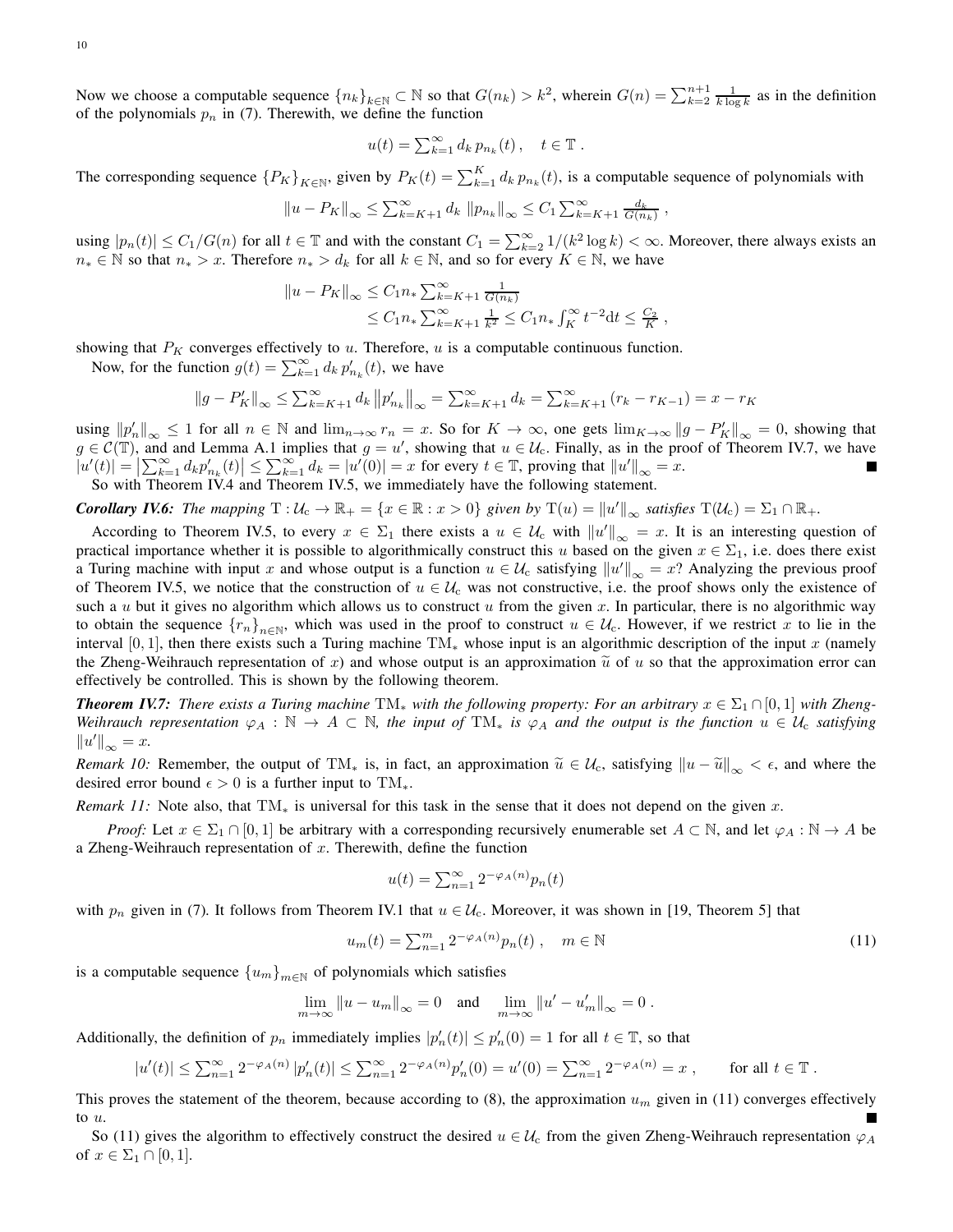Now we choose a computable sequence  ${n_k}_{k \in \mathbb{N}}$   $\subset \mathbb{N}$  so that  $G(n_k) > k^2$ , wherein  $G(n) = \sum_{k=2}^{n+1} \frac{1}{k \log k}$  as in the definition of the polynomials  $p_n$  in (7). Therewith, we define the function

$$
u(t) = \sum_{k=1}^{\infty} d_k p_{n_k}(t), \quad t \in \mathbb{T}.
$$

The corresponding sequence  ${P_K}_{K \in \mathbb{N}}$ , given by  $P_K(t) = \sum_{k=1}^{K} d_k p_{n_k}(t)$ , is a computable sequence of polynomials with

$$
||u - P_K||_{\infty} \le \sum_{k=K+1}^{\infty} d_k ||p_{n_k}||_{\infty} \le C_1 \sum_{k=K+1}^{\infty} \frac{d_k}{G(n_k)},
$$

using  $|p_n(t)| \le C_1/G(n)$  for all  $t \in \mathbb{T}$  and with the constant  $C_1 = \sum_{k=2}^{\infty} 1/(k^2 \log k) < \infty$ . Moreover, there always exists an  $n_* \in \mathbb{N}$  so that  $n_* > x$ . Therefore  $n_* > d_k$  for all  $k \in \mathbb{N}$ , and so for every  $K \in \mathbb{N}$ , we have

$$
||u - P_K||_{\infty} \le C_1 n_* \sum_{k=K+1}^{\infty} \frac{1}{G(n_k)}
$$
  
 
$$
\le C_1 n_* \sum_{k=K+1}^{\infty} \frac{1}{k^2} \le C_1 n_* \int_K^{\infty} t^{-2} dt \le \frac{C_2}{K}
$$

showing that  $P_K$  converges effectively to u. Therefore, u is a computable continuous function.

Now, for the function  $g(t) = \sum_{k=1}^{\infty} d_k p'_{n_k}(t)$ , we have

$$
||g - P'_{K}||_{\infty} \leq \sum_{k=K+1}^{\infty} d_{k} ||p'_{n_{k}}||_{\infty} = \sum_{k=K+1}^{\infty} d_{k} = \sum_{k=K+1}^{\infty} (r_{k} - r_{K-1}) = x - r_{K}
$$

using  $||p'_n||_{\infty} \le 1$  for all  $n \in \mathbb{N}$  and  $\lim_{n \to \infty} r_n = x$ . So for  $K \to \infty$ , one gets  $\lim_{K \to \infty} ||g - P'_K||_{\infty} = 0$ , showing that  $g \in \mathcal{C}(\mathbb{T})$ , and and Lemma A.1 implies that  $g = u'$ , showing that  $u \in \mathcal{U}_c$ . Finally, as in the proof of Theorem IV.7, we have  $|u'(t)| = \left|\sum_{k=1}^{\infty} d_k p'_{n_k}(t)\right| \leq \sum_{k=1}^{\infty} d_k = |u'(0)| = x$  for every  $t \in \mathbb{T}$ , proving that  $||u'||_{\infty} = x$ . So with Theorem IV.4 and Theorem IV.5, we immediately have the following statement.

*Corollary IV.6: The mapping*  $T: U_c \to \mathbb{R}_+ = \{x \in \mathbb{R} : x > 0\}$  *given by*  $T(u) = ||u'||_{\infty}$  *satisfies*  $T(U_c) = \Sigma_1 \cap \mathbb{R}_+$ *.* 

According to Theorem IV.5, to every  $x \in \Sigma_1$  there exists a  $u \in \mathcal{U}_c$  with  $||u'||_{\infty} = x$ . It is an interesting question of practical importance whether it is possible to algorithmically construct this u based on the given  $x \in \Sigma_1$ , i.e. does there exist a Turing machine with input x and whose output is a function  $u \in \mathcal{U}_c$  satisfying  $||u'||_{\infty} = x$ ? Analyzing the previous proof of Theorem IV.5, we notice that the construction of  $u \in \mathcal{U}_c$  was not constructive, i.e. the proof shows only the existence of such a u but it gives no algorithm which allows us to construct u from the given x. In particular, there is no algorithmic way to obtain the sequence  ${r_n}_{n\in\mathbb{N}}$ , which was used in the proof to construct  $u \in \mathcal{U}_c$ . However, if we restrict x to lie in the interval [0, 1], then there exists such a Turing machine TM<sub>∗</sub> whose input is an algorithmic description of the input x (namely the Zheng-Weihrauch representation of x) and whose output is an approximation  $\tilde{u}$  of u so that the approximation error can effectively be controlled. This is shown by the following theorem.

*Theorem IV.7: There exists a Turing machine*  $TM_*$  *with the following property: For an arbitrary*  $x \in \Sigma_1 \cap [0,1]$  *with Zheng-Weihrauch representation*  $\varphi_A : \mathbb{N} \to A \subset \mathbb{N}$ , the input of  $TM_*$  is  $\varphi_A$  and the output is the function  $u \in U_c$  *satisfying*  $||u'||_{\infty} = x.$ 

*Remark 10:* Remember, the output of TM<sub>\*</sub> is, in fact, an approximation  $\tilde{u} \in \mathcal{U}_c$ , satisfying  $\|u - \tilde{u}\|_{\infty} < \epsilon$ , and where the desired error bound  $\epsilon > 0$  is a further input to TM<sub>\*</sub>.

*Remark 11:* Note also, that  $TM_*$  is universal for this task in the sense that it does not depend on the given x.

*Proof:* Let  $x \in \Sigma_1 \cap [0, 1]$  be arbitrary with a corresponding recursively enumerable set  $A \subset \mathbb{N}$ , and let  $\varphi_A : \mathbb{N} \to A$  be a Zheng-Weihrauch representation of  $x$ . Therewith, define the function

$$
u(t) = \sum_{n=1}^{\infty} 2^{-\varphi_A(n)} p_n(t)
$$

with  $p_n$  given in (7). It follows from Theorem IV.1 that  $u \in \mathcal{U}_c$ . Moreover, it was shown in [19, Theorem 5] that

$$
u_m(t) = \sum_{n=1}^m 2^{-\varphi_A(n)} p_n(t) , \quad m \in \mathbb{N}
$$
 (11)

,

is a computable sequence  ${u_m}_{m \in \mathbb{N}}$  of polynomials which satisfies

$$
\lim_{m \to \infty} ||u - u_m||_{\infty} = 0 \quad \text{and} \quad \lim_{m \to \infty} ||u' - u'_m||_{\infty} = 0.
$$

Additionally, the definition of  $p_n$  immediately implies  $|p'_n(t)| \leq p'_n(0) = 1$  for all  $t \in \mathbb{T}$ , so that

$$
|u'(t)| \le \sum_{n=1}^{\infty} 2^{-\varphi_A(n)} |p'_n(t)| \le \sum_{n=1}^{\infty} 2^{-\varphi_A(n)} p'_n(0) = u'(0) = \sum_{n=1}^{\infty} 2^{-\varphi_A(n)} = x , \qquad \text{for all } t \in \mathbb{T} .
$$

This proves the statement of the theorem, because according to (8), the approximation  $u_m$  given in (11) converges effectively to u.

So (11) gives the algorithm to effectively construct the desired  $u \in \mathcal{U}_c$  from the given Zheng-Weihrauch representation  $\varphi_A$ of  $x \in \Sigma_1 \cap [0,1].$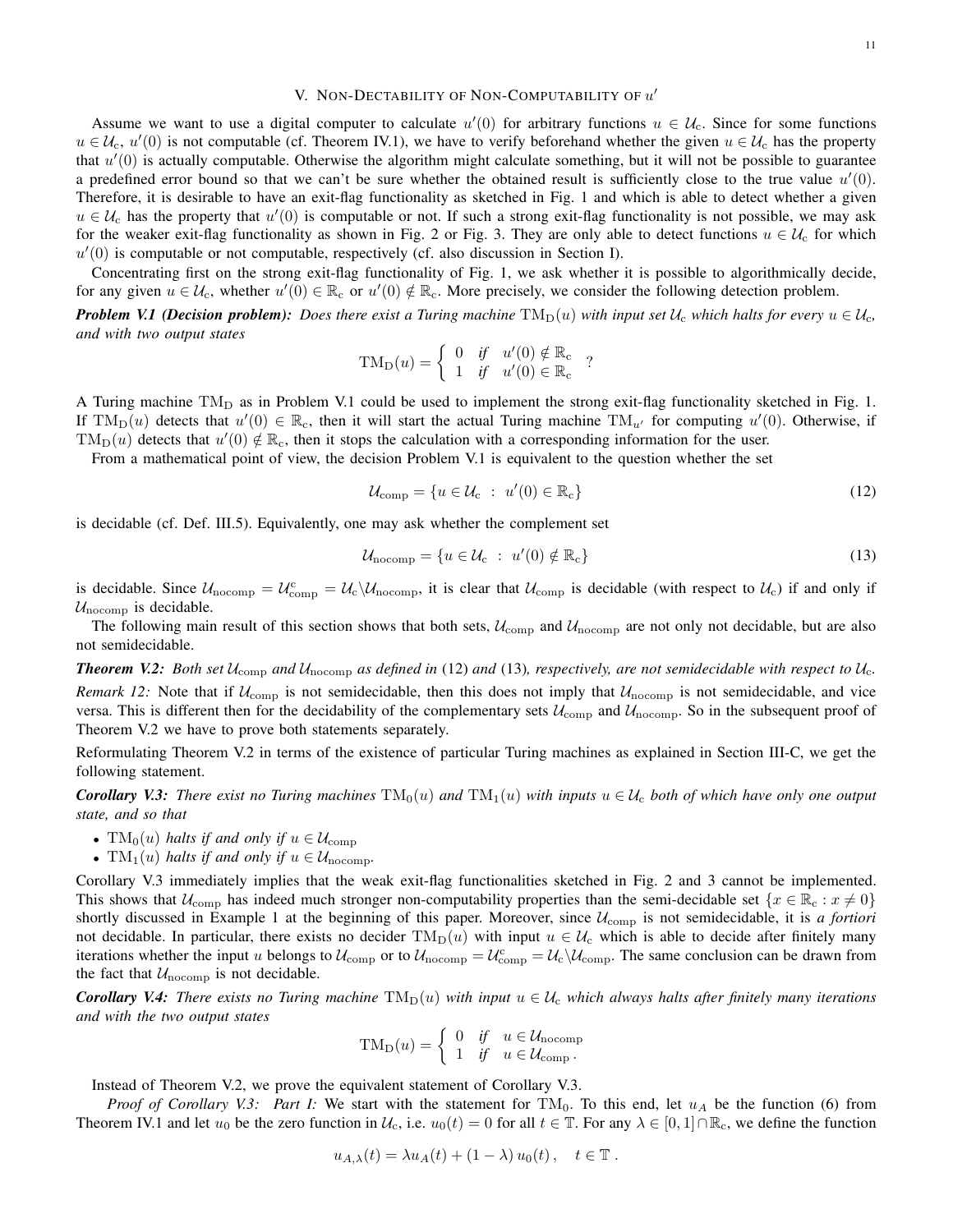# V. NON-DECTABILITY OF NON-COMPUTABILITY OF  $u'$

Assume we want to use a digital computer to calculate  $u'(0)$  for arbitrary functions  $u \in \mathcal{U}_c$ . Since for some functions  $u \in \mathcal{U}_c$ ,  $u'(0)$  is not computable (cf. Theorem IV.1), we have to verify beforehand whether the given  $u \in \mathcal{U}_c$  has the property that  $u'(0)$  is actually computable. Otherwise the algorithm might calculate something, but it will not be possible to guarantee a predefined error bound so that we can't be sure whether the obtained result is sufficiently close to the true value  $u'(0)$ . Therefore, it is desirable to have an exit-flag functionality as sketched in Fig. 1 and which is able to detect whether a given  $u \in \mathcal{U}_c$  has the property that  $u'(0)$  is computable or not. If such a strong exit-flag functionality is not possible, we may ask for the weaker exit-flag functionality as shown in Fig. 2 or Fig. 3. They are only able to detect functions  $u \in U_c$  for which  $u'(0)$  is computable or not computable, respectively (cf. also discussion in Section I).

Concentrating first on the strong exit-flag functionality of Fig. 1, we ask whether it is possible to algorithmically decide, for any given  $u \in \mathcal{U}_c$ , whether  $u'(0) \in \mathbb{R}_c$  or  $u'(0) \notin \mathbb{R}_c$ . More precisely, we consider the following detection problem.

*Problem V.1 (Decision problem): Does there exist a Turing machine*  $TM_D(u)$  *with input set*  $U_c$  *which halts for every*  $u \in U_c$ *, and with two output states*

$$
TM_D(u) = \begin{cases} 0 & \text{if} \quad u'(0) \notin \mathbb{R}_c \\ 1 & \text{if} \quad u'(0) \in \mathbb{R}_c \end{cases} ?
$$

A Turing machine  $TM_D$  as in Problem V.1 could be used to implement the strong exit-flag functionality sketched in Fig. 1. If  $TM_D(u)$  detects that  $u'(0) \in \mathbb{R}_c$ , then it will start the actual Turing machine  $TM_{u'}$  for computing  $u'(0)$ . Otherwise, if  $TM_D(u)$  detects that  $u'(0) \notin \mathbb{R}_c$ , then it stops the calculation with a corresponding information for the user.

From a mathematical point of view, the decision Problem V.1 is equivalent to the question whether the set

$$
\mathcal{U}_{\text{comp}} = \{ u \in \mathcal{U}_{\text{c}} : u'(0) \in \mathbb{R}_{\text{c}} \}
$$
\n
$$
(12)
$$

is decidable (cf. Def. III.5). Equivalently, one may ask whether the complement set

$$
\mathcal{U}_{\text{nocomp}} = \{ u \in \mathcal{U}_{\text{c}} : u'(0) \notin \mathbb{R}_{\text{c}} \}
$$
\n
$$
(13)
$$

is decidable. Since  $U_{\text{nocomp}} = U_{\text{comp}}^{\text{c}} = U_{\text{c}} \setminus U_{\text{nocomp}}$ , it is clear that  $U_{\text{comp}}$  is decidable (with respect to  $U_{\text{c}}$ ) if and only if  $U_{\text{nocomp}}$  is decidable.

The following main result of this section shows that both sets,  $U_{\rm comp}$  and  $U_{\rm nocomp}$  are not only not decidable, but are also not semidecidable.

*Theorem V.2: Both set* Ucomp *and* Unocomp *as defined in* (12) *and* (13)*, respectively, are not semidecidable with respect to* Uc*.*

*Remark 12:* Note that if  $U_{\text{comp}}$  is not semidecidable, then this does not imply that  $U_{\text{nocomp}}$  is not semidecidable, and vice versa. This is different then for the decidability of the complementary sets  $\mathcal{U}_{\text{comp}}$  and  $\mathcal{U}_{\text{nocomp}}$ . So in the subsequent proof of Theorem V.2 we have to prove both statements separately.

Reformulating Theorem V.2 in terms of the existence of particular Turing machines as explained in Section III-C, we get the following statement.

*Corollary V.3: There exist no Turing machines* $TM_0(u)$ *and* $TM_1(u)$ *with inputs* $u \in \mathcal{U}_c$ *both of which have only one output state, and so that*

- $TM_0(u)$  *halts if and only if*  $u \in \mathcal{U}_{comp}$
- $TM_1(u)$  *halts if and only if*  $u \in \mathcal{U}_{\text{nocomp}}$ .

Corollary V.3 immediately implies that the weak exit-flag functionalities sketched in Fig. 2 and 3 cannot be implemented. This shows that  $U_{\text{comp}}$  has indeed much stronger non-computability properties than the semi-decidable set  $\{x \in \mathbb{R}_{\text{c}} : x \neq 0\}$ shortly discussed in Example 1 at the beginning of this paper. Moreover, since Ucomp is not semidecidable, it is *a fortiori* not decidable. In particular, there exists no decider  $TM_D(u)$  with input  $u \in \mathcal{U}_c$  which is able to decide after finitely many iterations whether the input u belongs to  $U_{\text{comp}}$  or to  $U_{\text{normp}} = U_{\text{comp}}^{\text{c}} = U_{\text{c}} \setminus U_{\text{comp}}$ . The same conclusion can be drawn from the fact that  $U_{\text{nocomp}}$  is not decidable.

*Corollary V.4: There exists no Turing machine*  $TM_D(u)$  *with input*  $u \in \mathcal{U}_c$  *which always halts after finitely many iterations and with the two output states*

$$
TM_D(u) = \begin{cases} 0 & \text{if } u \in \mathcal{U}_{\text{nocomp}} \\ 1 & \text{if } u \in \mathcal{U}_{\text{comp}}. \end{cases}
$$

Instead of Theorem V.2, we prove the equivalent statement of Corollary V.3.

*Proof of Corollary V.3: Part I:* We start with the statement for  $TM_0$ . To this end, let  $u_A$  be the function (6) from Theorem IV.1 and let  $u_0$  be the zero function in  $\mathcal{U}_c$ , i.e.  $u_0(t) = 0$  for all  $t \in \mathbb{T}$ . For any  $\lambda \in [0,1] \cap \mathbb{R}_c$ , we define the function

$$
u_{A,\lambda}(t) = \lambda u_A(t) + (1-\lambda) u_0(t), \quad t \in \mathbb{T}.
$$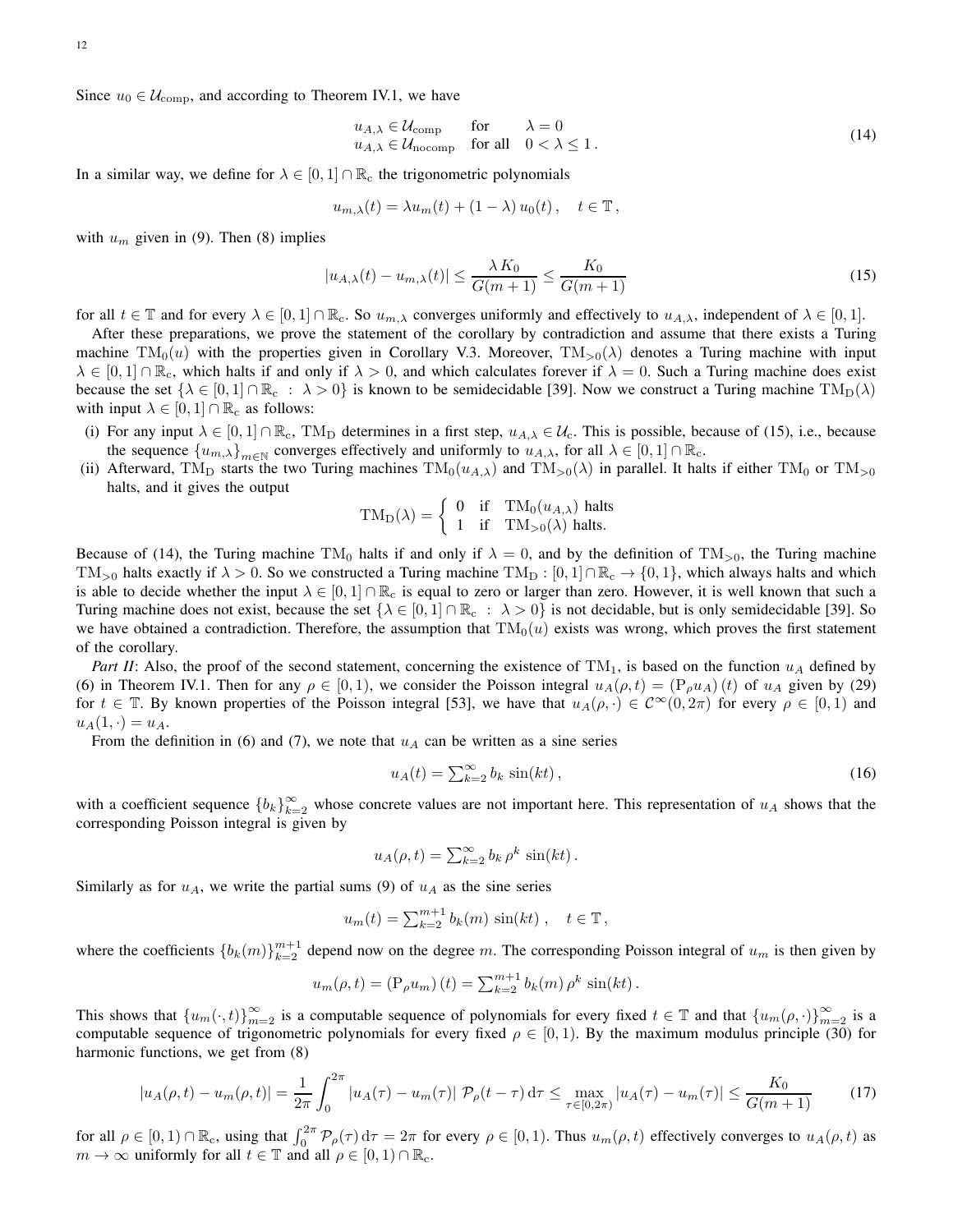12

Since  $u_0 \in \mathcal{U}_{\text{comp}}$ , and according to Theorem IV.1, we have

$$
u_{A,\lambda} \in \mathcal{U}_{\text{comp}} \quad \text{for} \quad \lambda = 0
$$
  
\n
$$
u_{A,\lambda} \in \mathcal{U}_{\text{nocomp}} \quad \text{for all} \quad 0 < \lambda \le 1.
$$
 (14)

In a similar way, we define for  $\lambda \in [0, 1] \cap \mathbb{R}_c$  the trigonometric polynomials

$$
u_{m,\lambda}(t) = \lambda u_m(t) + (1 - \lambda) u_0(t), \quad t \in \mathbb{T},
$$

with  $u_m$  given in (9). Then (8) implies

$$
|u_{A,\lambda}(t) - u_{m,\lambda}(t)| \le \frac{\lambda K_0}{G(m+1)} \le \frac{K_0}{G(m+1)}
$$
\n<sup>(15)</sup>

for all  $t \in \mathbb{T}$  and for every  $\lambda \in [0,1] \cap \mathbb{R}_{c}$ . So  $u_{m,\lambda}$  converges uniformly and effectively to  $u_{A,\lambda}$ , independent of  $\lambda \in [0,1]$ .

After these preparations, we prove the statement of the corollary by contradiction and assume that there exists a Turing machine  $TM_0(u)$  with the properties given in Corollary V.3. Moreover,  $TM_{>0}(\lambda)$  denotes a Turing machine with input  $\lambda \in [0,1] \cap \mathbb{R}_{\alpha}$ , which halts if and only if  $\lambda > 0$ , and which calculates forever if  $\lambda = 0$ . Such a Turing machine does exist because the set  $\{\lambda \in [0,1] \cap \mathbb{R}_{c} : \lambda > 0\}$  is known to be semidecidable [39]. Now we construct a Turing machine  $TM_D(\lambda)$ with input  $\lambda \in [0, 1] \cap \mathbb{R}_{c}$  as follows:

- (i) For any input  $\lambda \in [0,1] \cap \mathbb{R}_c$ , TM<sub>D</sub> determines in a first step,  $u_{A,\lambda} \in \mathcal{U}_c$ . This is possible, because of (15), i.e., because the sequence  ${u_{m,\lambda}}_{m\in\mathbb{N}}$  converges effectively and uniformly to  $u_{A,\lambda}$ , for all  $\lambda \in [0,1] \cap \mathbb{R}_c$ .
- (ii) Afterward, TM<sub>D</sub> starts the two Turing machines  $TM_0(u_{A,\lambda})$  and  $TM_{>0}(\lambda)$  in parallel. It halts if either TM<sub>0</sub> or TM<sub>>0</sub> halts, and it gives the output

$$
TM_D(\lambda) = \begin{cases} 0 & \text{if } TM_0(u_{A,\lambda}) \text{ halts} \\ 1 & \text{if } TM_{>0}(\lambda) \text{ halts.} \end{cases}
$$

Because of (14), the Turing machine TM<sub>0</sub> halts if and only if  $\lambda = 0$ , and by the definition of TM<sub>>0</sub>, the Turing machine TM<sub>>0</sub> halts exactly if  $\lambda > 0$ . So we constructed a Turing machine TM<sub>D</sub> :  $[0,1] \cap \mathbb{R}_{c} \to \{0,1\}$ , which always halts and which is able to decide whether the input  $\lambda \in [0,1] \cap \mathbb{R}_c$  is equal to zero or larger than zero. However, it is well known that such a Turing machine does not exist, because the set  $\{\lambda \in [0,1] \cap \mathbb{R}_{\mathfrak{c}} : \lambda > 0\}$  is not decidable, but is only semidecidable [39]. So we have obtained a contradiction. Therefore, the assumption that  $TM_0(u)$  exists was wrong, which proves the first statement of the corollary.

*Part II*: Also, the proof of the second statement, concerning the existence of  $TM_1$ , is based on the function  $u_A$  defined by (6) in Theorem IV.1. Then for any  $\rho \in [0,1)$ , we consider the Poisson integral  $u_A(\rho, t) = (P_\rho u_A)(t)$  of  $u_A$  given by (29) for  $t \in \mathbb{T}$ . By known properties of the Poisson integral [53], we have that  $u_A(\rho, \cdot) \in C^{\infty}(0, 2\pi)$  for every  $\rho \in [0, 1)$  and  $u_A(1, \cdot) = u_A.$ 

From the definition in (6) and (7), we note that  $u_A$  can be written as a sine series

$$
u_A(t) = \sum_{k=2}^{\infty} b_k \sin(kt), \qquad (16)
$$

with a coefficient sequence  ${b_k}_{k=2}^{\infty}$  whose concrete values are not important here. This representation of  $u_A$  shows that the corresponding Poisson integral is given by

$$
u_A(\rho, t) = \sum_{k=2}^{\infty} b_k \rho^k \sin(kt).
$$

Similarly as for  $u_A$ , we write the partial sums (9) of  $u_A$  as the sine series

$$
u_m(t) = \sum_{k=2}^{m+1} b_k(m) \sin(kt) , \quad t \in \mathbb{T},
$$

where the coefficients  ${b_k(m)}_{k=2}^{m+1}$  depend now on the degree m. The corresponding Poisson integral of  $u_m$  is then given by

$$
u_m(\rho, t) = (\mathcal{P}_{\rho} u_m) (t) = \sum_{k=2}^{m+1} b_k(m) \rho^k \sin(kt).
$$

This shows that  ${u_m(\cdot,t)}_{m=2}^{\infty}$  is a computable sequence of polynomials for every fixed  $t \in \mathbb{T}$  and that  ${u_m(\rho,\cdot)}_{m=2}^{\infty}$  is a computable sequence of trigonometric polynomials for every fixed  $\rho \in [0,1)$ . By the maximum modulus principle (30) for harmonic functions, we get from (8)

$$
|u_A(\rho, t) - u_m(\rho, t)| = \frac{1}{2\pi} \int_0^{2\pi} |u_A(\tau) - u_m(\tau)| \, \mathcal{P}_\rho(t - \tau) \, d\tau \le \max_{\tau \in [0, 2\pi)} |u_A(\tau) - u_m(\tau)| \le \frac{K_0}{G(m+1)} \tag{17}
$$

for all  $\rho \in [0, 1) \cap \mathbb{R}_c$ , using that  $\int_0^{2\pi} \mathcal{P}_\rho(\tau) d\tau = 2\pi$  for every  $\rho \in [0, 1)$ . Thus  $u_m(\rho, t)$  effectively converges to  $u_A(\rho, t)$  as  $m \to \infty$  uniformly for all  $t \in \mathbb{T}$  and all  $\rho \in [0, 1) \cap \mathbb{R}_c$ .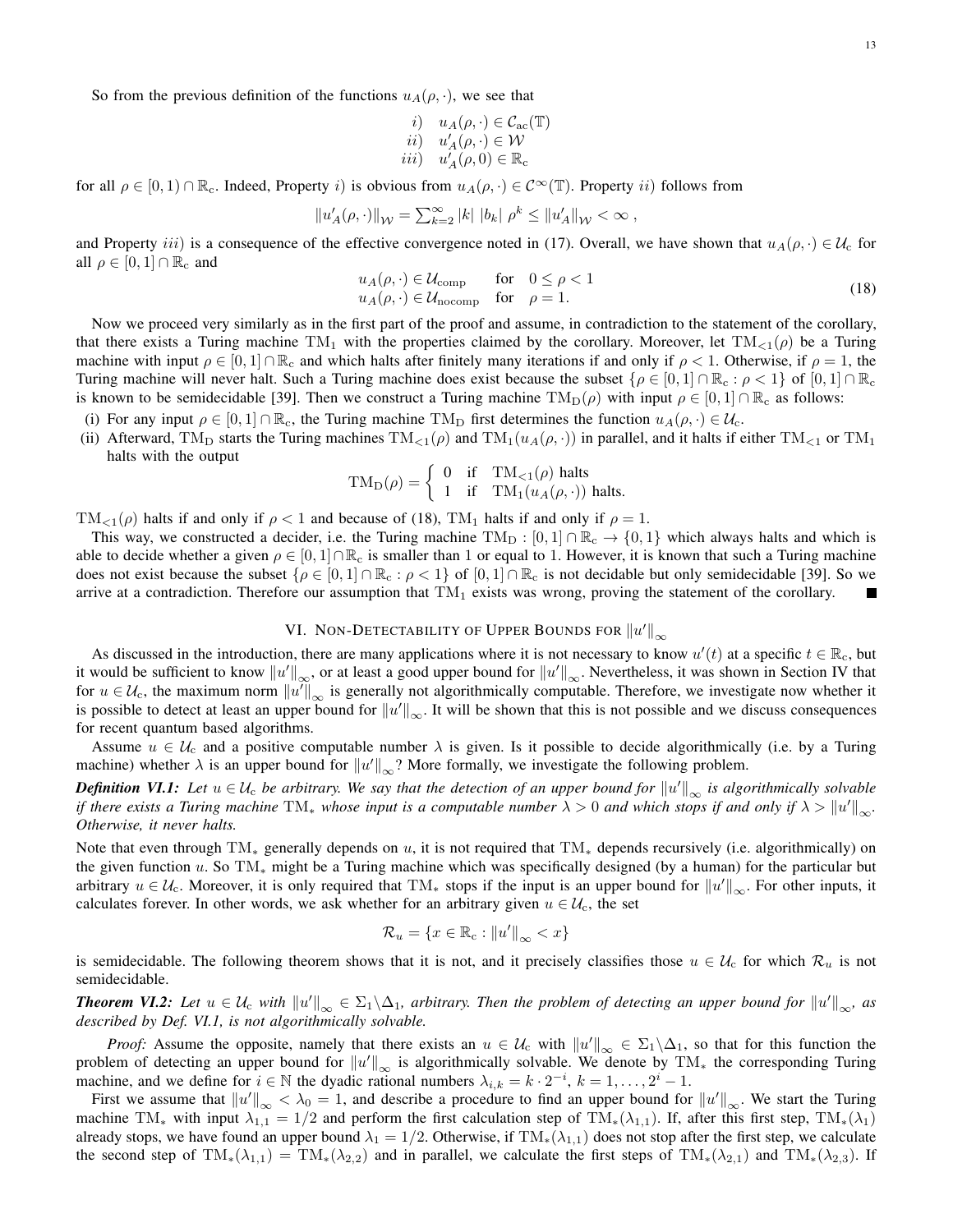So from the previous definition of the functions  $u_A(\rho, \cdot)$ , we see that

*i*) 
$$
u_A(\rho, \cdot) \in C_{ac}(\mathbb{T})
$$
  
\n*ii*)  $u'_A(\rho, \cdot) \in \mathcal{W}$   
\n*iii*)  $u'_A(\rho, 0) \in \mathbb{R}_c$ 

for all  $\rho \in [0, 1) \cap \mathbb{R}_{c}$ . Indeed, Property i) is obvious from  $u_A(\rho, \cdot) \in C^{\infty}(\mathbb{T})$ . Property ii) follows from

$$
\left\|u_A'(\rho,\cdot)\right\|_{\mathcal{W}} = \sum_{k=2}^\infty |k| \ |b_k| \ \rho^k \leq \left\|u_A'\right\|_{\mathcal{W}} < \infty
$$
 ,

and Property iii) is a consequence of the effective convergence noted in (17). Overall, we have shown that  $u_A(\rho, \cdot) \in \mathcal{U}_c$  for all  $\rho \in [0, 1] \cap \mathbb{R}_{c}$  and

$$
u_A(\rho, \cdot) \in \mathcal{U}_{\text{comp}} \quad \text{for} \quad 0 \le \rho < 1u_A(\rho, \cdot) \in \mathcal{U}_{\text{nocomp}} \quad \text{for} \quad \rho = 1.
$$
 (18)

Now we proceed very similarly as in the first part of the proof and assume, in contradiction to the statement of the corollary, that there exists a Turing machine TM<sub>1</sub> with the properties claimed by the corollary. Moreover, let  $TM_{\leq 1}(\rho)$  be a Turing machine with input  $\rho \in [0,1] \cap \mathbb{R}_c$  and which halts after finitely many iterations if and only if  $\rho < 1$ . Otherwise, if  $\rho = 1$ , the Turing machine will never halt. Such a Turing machine does exist because the subset  $\{\rho \in [0,1] \cap \mathbb{R}_{c} : \rho < 1\}$  of  $[0,1] \cap \mathbb{R}_{c}$ is known to be semidecidable [39]. Then we construct a Turing machine  $TM_D(\rho)$  with input  $\rho \in [0,1] \cap \mathbb{R}_c$  as follows:

- (i) For any input  $\rho \in [0,1] \cap \mathbb{R}_c$ , the Turing machine TM<sub>D</sub> first determines the function  $u_A(\rho, \cdot) \in \mathcal{U}_c$ .
- (ii) Afterward, TM<sub>D</sub> starts the Turing machines  $TM_{\leq 1}(\rho)$  and  $TM_1(u_A(\rho, \cdot))$  in parallel, and it halts if either TM<sub> $\leq 1$ </sub> or TM<sub>1</sub> halts with the output

$$
TM_D(\rho) = \begin{cases} 0 & \text{if } TM_{<1}(\rho) \text{ halts} \\ 1 & \text{if } TM_1(u_A(\rho,\cdot)) \text{ halts.} \end{cases}
$$

TM<sub><1</sub>( $\rho$ ) halts if and only if  $\rho < 1$  and because of (18), TM<sub>1</sub> halts if and only if  $\rho = 1$ .

This way, we constructed a decider, i.e. the Turing machine  $TM_D : [0,1] \cap \mathbb{R}_c \to \{0,1\}$  which always halts and which is able to decide whether a given  $\rho \in [0,1] \cap \mathbb{R}_c$  is smaller than 1 or equal to 1. However, it is known that such a Turing machine does not exist because the subset  $\{\rho \in [0,1] \cap \mathbb{R}_{c} : \rho < 1\}$  of  $[0,1] \cap \mathbb{R}_{c}$  is not decidable but only semidecidable [39]. So we arrive at a contradiction. Therefore our assumption that  $TM_1$  exists was wrong, proving the statement of the corollary.

# VI. Non-Detectability of Upper Bounds for  $\left\Vert u'\right\Vert _{\infty}$

As discussed in the introduction, there are many applications where it is not necessary to know  $u'(t)$  at a specific  $t \in \mathbb{R}_c$ , but it would be sufficient to know  $\|u'\|_\infty$ , or at least a good upper bound for  $\|u'\|_\infty$ . Nevertheless, it was shown in Section IV that for  $u \in \mathcal{U}_c$ , the maximum norm  $||u'||_{\infty}$  is generally not algorithmically computable. Therefore, we investigate now whether it is possible to detect at least an upper bound for  $||u'||_{\infty}$ . It will be shown that this is not possible and we discuss consequences for recent quantum based algorithms.

Assume  $u \in \mathcal{U}_c$  and a positive computable number  $\lambda$  is given. Is it possible to decide algorithmically (i.e. by a Turing machine) whether  $\lambda$  is an upper bound for  $||u'||_{\infty}$ ? More formally, we investigate the following problem.

*Definition VI.1: Let*  $u \in U_c$  *be arbitrary. We say that the detection of an upper bound for*  $||u'||_{\infty}$  *is algorithmically solvable if there exists a Turing machine*  $TM_*$  *whose input is a computable number*  $\lambda > 0$  *and which stops if and only if*  $\lambda > \|u'\|_{\infty}$ *. Otherwise, it never halts.*

Note that even through  $TM_*$  generally depends on u, it is not required that  $TM_*$  depends recursively (i.e. algorithmically) on the given function u. So  $TM_*$  might be a Turing machine which was specifically designed (by a human) for the particular but arbitrary  $u \in \mathcal{U}_c$ . Moreover, it is only required that TM<sub>\*</sub> stops if the input is an upper bound for  $||u'||_{\infty}$ . For other inputs, it calculates forever. In other words, we ask whether for an arbitrary given  $u \in \mathcal{U}_c$ , the set

$$
\mathcal{R}_u = \{x \in \mathbb{R}_{\mathbf{c}} : ||u'||_{\infty} < x\}
$$

is semidecidable. The following theorem shows that it is not, and it precisely classifies those  $u \in \mathcal{U}_c$  for which  $\mathcal{R}_u$  is not semidecidable.

**Theorem VI.2:** Let  $u \in \mathcal{U}_c$  with  $||u'||_{\infty} \in \Sigma_1 \backslash \Delta_1$ , arbitrary. Then the problem of detecting an upper bound for  $||u'||_{\infty}$ , as *described by Def. VI.1, is not algorithmically solvable.*

*Proof:* Assume the opposite, namely that there exists an  $u \in \mathcal{U}_c$  with  $||u'||_{\infty} \in \Sigma_1 \setminus \Delta_1$ , so that for this function the problem of detecting an upper bound for  $||u'||_{\infty}$  is algorithmically solvable. We denote by TM<sub>\*</sub> the corresponding Turing machine, and we define for  $i \in \mathbb{N}$  the dyadic rational numbers  $\lambda_{i,k} = k \cdot 2^{-i}, k = 1, \ldots, 2^{i} - 1$ .

First we assume that  $||u'||_{\infty} < \lambda_0 = 1$ , and describe a procedure to find an upper bound for  $||u'||_{\infty}$ . We start the Turing machine TM<sub>\*</sub> with input  $\lambda_{1,1} = 1/2$  and perform the first calculation step of TM<sub>\*</sub>( $\lambda_{1,1}$ ). If, after this first step, TM<sub>\*</sub>( $\lambda_1$ ) already stops, we have found an upper bound  $\lambda_1 = 1/2$ . Otherwise, if TM<sub>\*</sub>( $\lambda_{1,1}$ ) does not stop after the first step, we calculate the second step of  $TM_*(\lambda_{1,1}) = TM_*(\lambda_{2,2})$  and in parallel, we calculate the first steps of  $TM_*(\lambda_{2,1})$  and  $TM_*(\lambda_{2,3})$ . If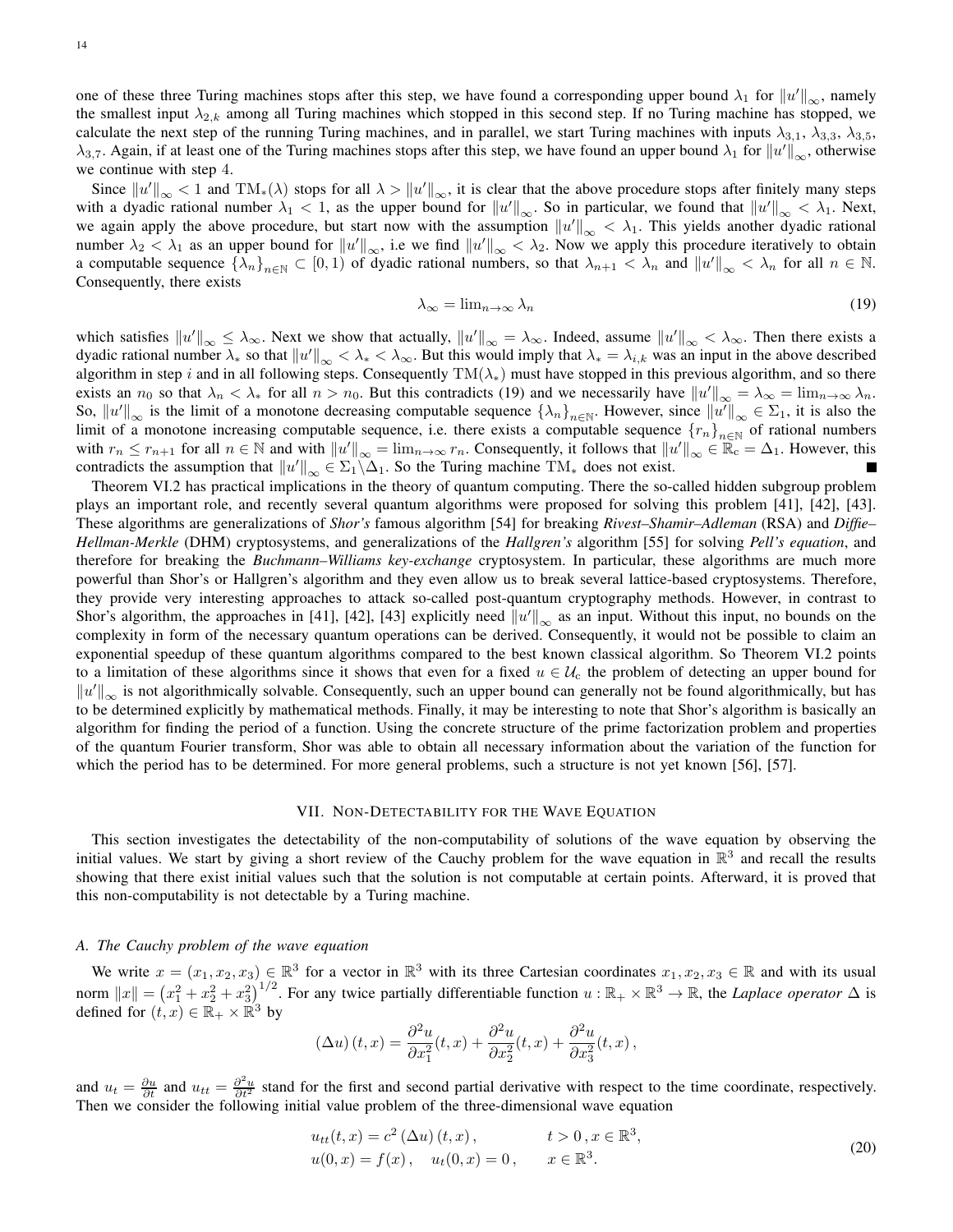one of these three Turing machines stops after this step, we have found a corresponding upper bound  $\lambda_1$  for  $\|u'\|_{\infty}$ , namely the smallest input  $\lambda_{2,k}$  among all Turing machines which stopped in this second step. If no Turing machine has stopped, we calculate the next step of the running Turing machines, and in parallel, we start Turing machines with inputs  $\lambda_{3,1}$ ,  $\lambda_{3,3}$ ,  $\lambda_{3,5}$ ,  $\lambda_{3,7}$ . Again, if at least one of the Turing machines stops after this step, we have found an upper bound  $\lambda_1$  for  $||u'||_{\infty}$ , otherwise we continue with step 4.

Since  $||u'||_{\infty} < 1$  and  $TM_*(\lambda)$  stops for all  $\lambda > ||u'||_{\infty}$ , it is clear that the above procedure stops after finitely many steps with a dyadic rational number  $\lambda_1 < 1$ , as the upper bound for  $||u'||_{\infty}$ . So in particular, we found that  $||u'||_{\infty} < \lambda_1$ . Next, we again apply the above procedure, but start now with the assumption  $||u'||_{\infty} < \lambda_1$ . This yields another dyadic rational number  $\lambda_2 < \lambda_1$  as an upper bound for  $||u'||_{\infty}$ , i.e we find  $||u'||_{\infty} < \lambda_2$ . Now we apply this procedure iteratively to obtain a computable sequence  $\{\lambda_n\}_{n\in\mathbb{N}}\subset [0,1)$  of dyadic rational numbers, so that  $\lambda_{n+1}<\lambda_n$  and  $||u'||_{\infty}<\lambda_n$  for all  $n\in\mathbb{N}$ . Consequently, there exists

$$
\lambda_{\infty} = \lim_{n \to \infty} \lambda_n \tag{19}
$$

which satisfies  $||u'||_{\infty} \leq \lambda_{\infty}$ . Next we show that actually,  $||u'||_{\infty} = \lambda_{\infty}$ . Indeed, assume  $||u'||_{\infty} < \lambda_{\infty}$ . Then there exists a dyadic rational number  $\lambda_*$  so that  $||u'||_{\infty} < \lambda_* < \lambda_{\infty}$ . But this would imply that  $\lambda_* = \lambda_{i,k}$  was an input in the above described algorithm in step i and in all following steps. Consequently  $TM(\lambda_*)$  must have stopped in this previous algorithm, and so there exists an  $n_0$  so that  $\lambda_n < \lambda_*$  for all  $n > n_0$ . But this contradicts (19) and we necessarily have  $||u'||_{\infty} = \lambda_{\infty} = \lim_{n \to \infty} \lambda_n$ . So,  $||u'||_{\infty}$  is the limit of a monotone decreasing computable sequence  $\{\lambda_n\}_{n\in\mathbb{N}}$ . However, since  $||u'||_{\infty} \in \Sigma_1$ , it is also the limit of a monotone increasing computable sequence, i.e. there exists a computable sequence  ${r_n}_{n\in\mathbb{N}}$  of rational numbers with  $r_n \le r_{n+1}$  for all  $n \in \mathbb{N}$  and with  $||u'||_{\infty} = \lim_{n \to \infty} r_n$ . Consequently, it follows that  $||u'||_{\infty} \in \mathbb{R}_c = \Delta_1$ . However, this contradicts the assumption that  $||u'||_{\infty} \in \Sigma_1 \backslash \Delta_1$ . So the Turing machine TM<sub>\*</sub> does not exist.

Theorem VI.2 has practical implications in the theory of quantum computing. There the so-called hidden subgroup problem plays an important role, and recently several quantum algorithms were proposed for solving this problem [41], [42], [43]. These algorithms are generalizations of *Shor's* famous algorithm [54] for breaking *Rivest–Shamir–Adleman* (RSA) and *Diffie– Hellman-Merkle* (DHM) cryptosystems, and generalizations of the *Hallgren's* algorithm [55] for solving *Pell's equation*, and therefore for breaking the *Buchmann–Williams key-exchange* cryptosystem. In particular, these algorithms are much more powerful than Shor's or Hallgren's algorithm and they even allow us to break several lattice-based cryptosystems. Therefore, they provide very interesting approaches to attack so-called post-quantum cryptography methods. However, in contrast to Shor's algorithm, the approaches in [41], [42], [43] explicitly need  $||u'||_{\infty}$  as an input. Without this input, no bounds on the complexity in form of the necessary quantum operations can be derived. Consequently, it would not be possible to claim an exponential speedup of these quantum algorithms compared to the best known classical algorithm. So Theorem VI.2 points to a limitation of these algorithms since it shows that even for a fixed  $u \in \mathcal{U}_c$  the problem of detecting an upper bound for  $\|u'\|_{\infty}$  is not algorithmically solvable. Consequently, such an upper bound can generally not be found algorithmically, but has to be determined explicitly by mathematical methods. Finally, it may be interesting to note that Shor's algorithm is basically an algorithm for finding the period of a function. Using the concrete structure of the prime factorization problem and properties of the quantum Fourier transform, Shor was able to obtain all necessary information about the variation of the function for which the period has to be determined. For more general problems, such a structure is not yet known [56], [57].

### VII. NON-DETECTABILITY FOR THE WAVE EQUATION

This section investigates the detectability of the non-computability of solutions of the wave equation by observing the initial values. We start by giving a short review of the Cauchy problem for the wave equation in  $\mathbb{R}^3$  and recall the results showing that there exist initial values such that the solution is not computable at certain points. Afterward, it is proved that this non-computability is not detectable by a Turing machine.

# *A. The Cauchy problem of the wave equation*

We write  $x = (x_1, x_2, x_3) \in \mathbb{R}^3$  for a vector in  $\mathbb{R}^3$  with its three Cartesian coordinates  $x_1, x_2, x_3 \in \mathbb{R}$  and with its usual norm  $||x|| = (x_1^2 + x_2^2 + x_3^2)^{1/2}$ . For any twice partially differentiable function  $u : \mathbb{R}_+ \times \mathbb{R}^3 \to \mathbb{R}$ , the *Laplace operator*  $\Delta$  is defined for  $(t, x) \in \mathbb{R}_+ \times \mathbb{R}^3$  by

$$
(\Delta u)(t,x) = \frac{\partial^2 u}{\partial x_1^2}(t,x) + \frac{\partial^2 u}{\partial x_2^2}(t,x) + \frac{\partial^2 u}{\partial x_3^2}(t,x),
$$

and  $u_t = \frac{\partial u}{\partial t}$  and  $u_{tt} = \frac{\partial^2 u}{\partial t^2}$  stand for the first and second partial derivative with respect to the time coordinate, respectively. Then we consider the following initial value problem of the three-dimensional wave equation

$$
u_{tt}(t,x) = c^2 (\Delta u) (t,x), \t t > 0, x \in \mathbb{R}^3, u(0,x) = f(x), \t u_t(0,x) = 0, \t x \in \mathbb{R}^3.
$$
 (20)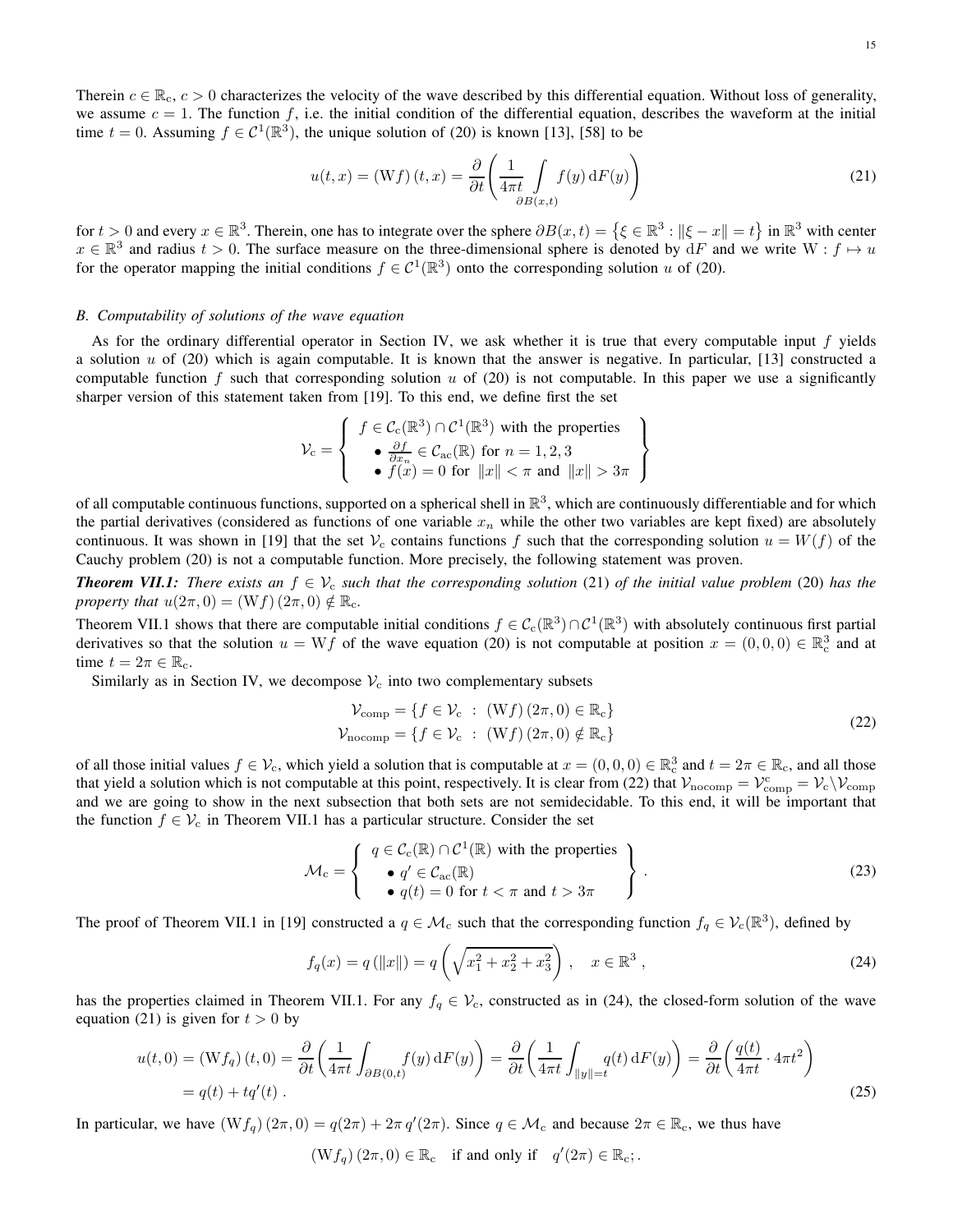$$
u(t,x) = (Wf)(t,x) = \frac{\partial}{\partial t} \left( \frac{1}{4\pi t} \int_{\partial B(x,t)} f(y) \, dF(y) \right)
$$
(21)

for  $t > 0$  and every  $x \in \mathbb{R}^3$ . Therein, one has to integrate over the sphere  $\partial B(x, t) = \{ \xi \in \mathbb{R}^3 : ||\xi - x|| = t \}$  in  $\mathbb{R}^3$  with center  $x \in \mathbb{R}^3$  and radius  $t > 0$ . The surface measure on the three-dimensional sphere is denoted by  $dF$  and we write  $W : f \mapsto u$ for the operator mapping the initial conditions  $f \in C^1(\mathbb{R}^3)$  onto the corresponding solution u of (20).

### *B. Computability of solutions of the wave equation*

As for the ordinary differential operator in Section IV, we ask whether it is true that every computable input f yields a solution  $u$  of (20) which is again computable. It is known that the answer is negative. In particular, [13] constructed a computable function f such that corresponding solution  $u$  of (20) is not computable. In this paper we use a significantly sharper version of this statement taken from [19]. To this end, we define first the set

$$
\mathcal{V}_{\rm c} = \left\{ \begin{array}{c} f \in \mathcal{C}_{\rm c}(\mathbb{R}^3) \cap \mathcal{C}^1(\mathbb{R}^3) \text{ with the properties} \\ \bullet \frac{\partial f}{\partial x_n} \in \mathcal{C}_{\rm ac}(\mathbb{R}) \text{ for } n = 1, 2, 3 \\ \bullet f(x) = 0 \text{ for } ||x|| < \pi \text{ and } ||x|| > 3\pi \end{array} \right\}
$$

of all computable continuous functions, supported on a spherical shell in  $\mathbb{R}^3$ , which are continuously differentiable and for which the partial derivatives (considered as functions of one variable  $x_n$  while the other two variables are kept fixed) are absolutely continuous. It was shown in [19] that the set  $V_c$  contains functions f such that the corresponding solution  $u = W(f)$  of the Cauchy problem (20) is not a computable function. More precisely, the following statement was proven.

*Theorem VII.1: There exists an*  $f \in V_c$  *such that the corresponding solution* (21) *of the initial value problem* (20) *has the property that*  $u(2\pi, 0) = (Wf)(2\pi, 0) \notin \mathbb{R}_c$ .

Theorem VII.1 shows that there are computable initial conditions  $f \in C_c(\mathbb{R}^3) \cap C^1(\mathbb{R}^3)$  with absolutely continuous first partial derivatives so that the solution  $u = Wf$  of the wave equation (20) is not computable at position  $x = (0,0,0) \in \mathbb{R}^3_c$  and at time  $t = 2\pi \in \mathbb{R}_c$ .

Similarly as in Section IV, we decompose  $V_c$  into two complementary subsets

$$
\mathcal{V}_{\text{comp}} = \{ f \in \mathcal{V}_{\text{c}} : (\text{W}f)(2\pi, 0) \in \mathbb{R}_{\text{c}} \}
$$
  

$$
\mathcal{V}_{\text{nocomp}} = \{ f \in \mathcal{V}_{\text{c}} : (\text{W}f)(2\pi, 0) \notin \mathbb{R}_{\text{c}} \}
$$
 (22)

of all those initial values  $f \in V_c$ , which yield a solution that is computable at  $x = (0,0,0) \in \mathbb{R}^3_c$  and  $t = 2\pi \in \mathbb{R}_c$ , and all those that yield a solution which is not computable at this point, respectively. It is clear from (22) that  $V_{\text{nocomp}} = V_{\text{comp}}^{\text{c}} = V_{\text{c}} \setminus V_{\text{comp}}$ and we are going to show in the next subsection that both sets are not semidecidable. To this end, it will be important that the function  $f \in V_c$  in Theorem VII.1 has a particular structure. Consider the set

$$
\mathcal{M}_{c} = \begin{cases} q \in \mathcal{C}_{c}(\mathbb{R}) \cap \mathcal{C}^{1}(\mathbb{R}) \text{ with the properties} \\ \bullet q' \in \mathcal{C}_{ac}(\mathbb{R}) \\ \bullet q(t) = 0 \text{ for } t < \pi \text{ and } t > 3\pi \end{cases}
$$
 (23)

The proof of Theorem VII.1 in [19] constructed a  $q \in \mathcal{M}_c$  such that the corresponding function  $f_q \in \mathcal{V}_c(\mathbb{R}^3)$ , defined by

$$
f_q(x) = q(||x||) = q\left(\sqrt{x_1^2 + x_2^2 + x_3^2}\right), \quad x \in \mathbb{R}^3,
$$
\n(24)

has the properties claimed in Theorem VII.1. For any  $f_q \in V_c$ , constructed as in (24), the closed-form solution of the wave equation (21) is given for  $t > 0$  by

$$
u(t,0) = (\mathbf{W}f_q)(t,0) = \frac{\partial}{\partial t} \left( \frac{1}{4\pi t} \int_{\partial B(0,t)} f(y) \,dF(y) \right) = \frac{\partial}{\partial t} \left( \frac{1}{4\pi t} \int_{\|y\| = t} q(t) \,dF(y) \right) = \frac{\partial}{\partial t} \left( \frac{q(t)}{4\pi t} \cdot 4\pi t^2 \right)
$$
  
=  $q(t) + tq'(t)$ . (25)

In particular, we have  $(Wf_q)(2\pi, 0) = q(2\pi) + 2\pi q'(2\pi)$ . Since  $q \in M_c$  and because  $2\pi \in \mathbb{R}_c$ , we thus have

 $(W f_q) (2\pi, 0) \in \mathbb{R}_c$  if and only if  $q'(2\pi) \in \mathbb{R}_c$ ;.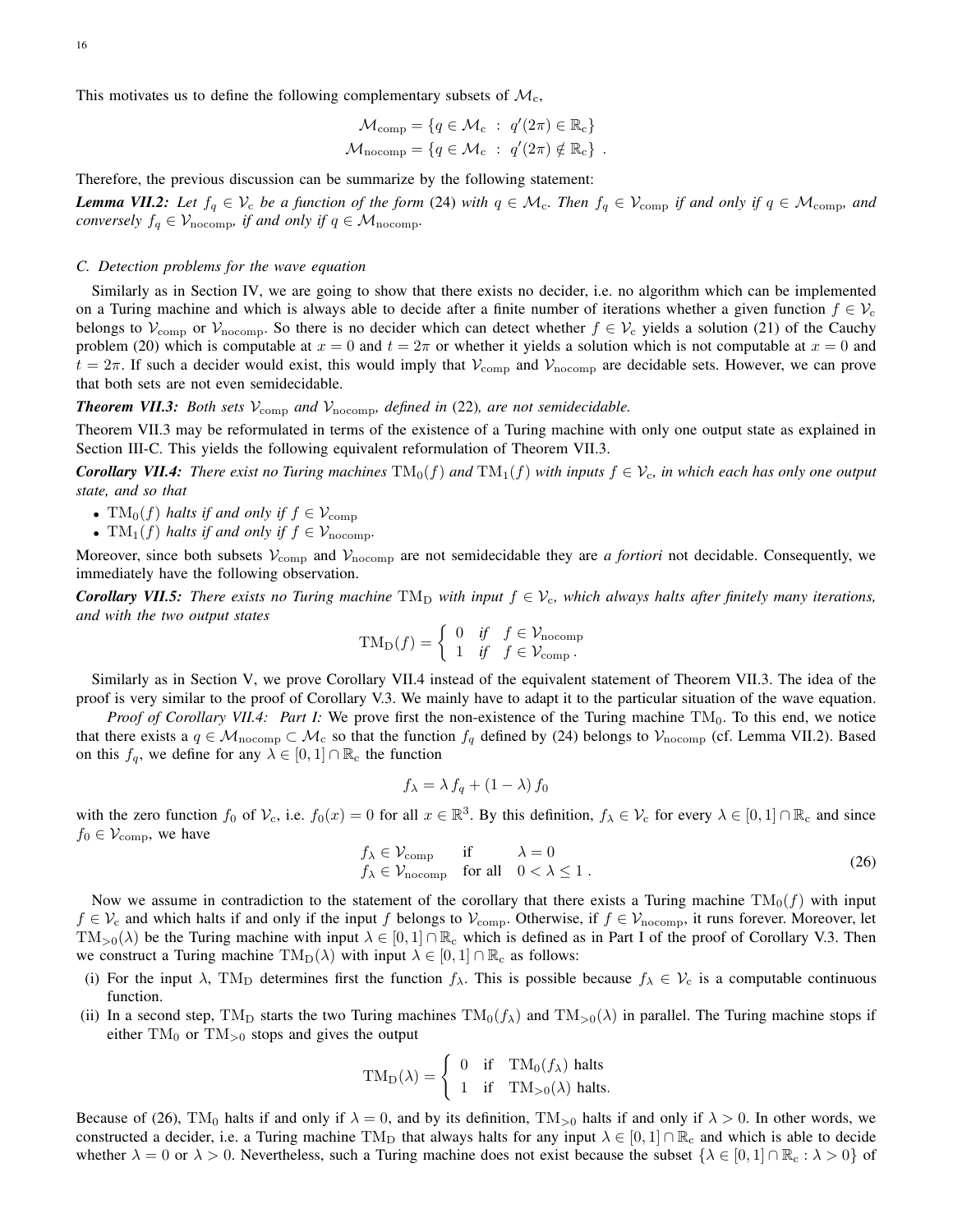This motivates us to define the following complementary subsets of  $\mathcal{M}_c$ ,

$$
\mathcal{M}_{\text{comp}} = \{q \in \mathcal{M}_{\text{c}} : q'(2\pi) \in \mathbb{R}_{\text{c}}\}
$$

$$
\mathcal{M}_{\text{nocomp}} = \{q \in \mathcal{M}_{\text{c}} : q'(2\pi) \notin \mathbb{R}_{\text{c}}\}.
$$

Therefore, the previous discussion can be summarize by the following statement:

*Lemma VII.2:* Let  $f_q \in V_c$  be a function of the form (24) with  $q \in M_c$ . Then  $f_q \in V_{\text{comp}}$  if and only if  $q \in M_{\text{comp}}$ , and *conversely*  $f_q \in V_{\text{nocomp}}$ *, if and only if*  $q \in \mathcal{M}_{\text{nocomp}}$ *.* 

### *C. Detection problems for the wave equation*

Similarly as in Section IV, we are going to show that there exists no decider, i.e. no algorithm which can be implemented on a Turing machine and which is always able to decide after a finite number of iterations whether a given function  $f \in V_c$ belongs to  $V_{\text{comp}}$  or  $V_{\text{nocomp}}$ . So there is no decider which can detect whether  $f \in V_c$  yields a solution (21) of the Cauchy problem (20) which is computable at  $x = 0$  and  $t = 2\pi$  or whether it yields a solution which is not computable at  $x = 0$  and  $t = 2\pi$ . If such a decider would exist, this would imply that  $V_{\text{comp}}$  and  $V_{\text{nocomp}}$  are decidable sets. However, we can prove that both sets are not even semidecidable.

# **Theorem VII.3:** Both sets  $V_{\text{comp}}$  and  $V_{\text{nocomp}}$ , defined in (22), are not semidecidable.

Theorem VII.3 may be reformulated in terms of the existence of a Turing machine with only one output state as explained in Section III-C. This yields the following equivalent reformulation of Theorem VII.3.

*Corollary VII.4: There exist no Turing machines*  $TM_0(f)$  *and*  $TM_1(f)$  *with inputs*  $f \in V_c$ *, in which each has only one output state, and so that*

- $TM_0(f)$  *halts if and only if*  $f \in V_{\text{comp}}$
- $TM_1(f)$  *halts if and only if*  $f \in V_{\text{nocomp}}$ .

Moreover, since both subsets  $V_{\rm comp}$  and  $V_{\rm nocomp}$  are not semidecidable they are *a fortiori* not decidable. Consequently, we immediately have the following observation.

*Corollary VII.5: There exists no Turing machine*  $TM_D$  *with input*  $f \in V_c$ , which always halts after finitely many iterations, *and with the two output states*

$$
TM_D(f) = \begin{cases} 0 & \text{if } f \in \mathcal{V}_{\text{nocomp}} \\ 1 & \text{if } f \in \mathcal{V}_{\text{comp}}. \end{cases}
$$

Similarly as in Section V, we prove Corollary VII.4 instead of the equivalent statement of Theorem VII.3. The idea of the proof is very similar to the proof of Corollary V.3. We mainly have to adapt it to the particular situation of the wave equation.

*Proof of Corollary VII.4: Part I:* We prove first the non-existence of the Turing machine TM<sub>0</sub>. To this end, we notice that there exists a  $q \in \mathcal{M}_{\text{nocomp}} \subset \mathcal{M}_{\text{c}}$  so that the function  $f_q$  defined by (24) belongs to  $\mathcal{V}_{\text{nocomp}}$  (cf. Lemma VII.2). Based on this  $f_q$ , we define for any  $\lambda \in [0,1] \cap \mathbb{R}_c$  the function

$$
f_{\lambda} = \lambda f_q + (1 - \lambda) f_0
$$

with the zero function  $f_0$  of  $\mathcal{V}_c$ , i.e.  $f_0(x) = 0$  for all  $x \in \mathbb{R}^3$ . By this definition,  $f_\lambda \in \mathcal{V}_c$  for every  $\lambda \in [0,1] \cap \mathbb{R}_c$  and since  $f_0 \in \mathcal{V}_{\text{comp}}$ , we have

$$
f_{\lambda} \in \mathcal{V}_{\text{comp}} \quad \text{if} \quad \lambda = 0
$$
  
\n
$$
f_{\lambda} \in \mathcal{V}_{\text{nocomp}} \quad \text{for all} \quad 0 < \lambda \le 1.
$$
 (26)

Now we assume in contradiction to the statement of the corollary that there exists a Turing machine  $TM_0(f)$  with input  $f \in V_c$  and which halts if and only if the input f belongs to  $V_{\text{comp}}$ . Otherwise, if  $f \in V_{\text{nocomp}}$ , it runs forever. Moreover, let  $TM_{>0}(\lambda)$  be the Turing machine with input  $\lambda \in [0,1] \cap \mathbb{R}_c$  which is defined as in Part I of the proof of Corollary V.3. Then we construct a Turing machine  $TM_D(\lambda)$  with input  $\lambda \in [0,1] \cap \mathbb{R}_c$  as follows:

- (i) For the input  $\lambda$ , TM<sub>D</sub> determines first the function  $f_{\lambda}$ . This is possible because  $f_{\lambda} \in V_c$  is a computable continuous function.
- (ii) In a second step, TM<sub>D</sub> starts the two Turing machines  $TM_0(f_\lambda)$  and  $TM_{>0}(\lambda)$  in parallel. The Turing machine stops if either  $TM_0$  or  $TM_{>0}$  stops and gives the output

$$
TM_D(\lambda) = \begin{cases} 0 & \text{if } TM_0(f_\lambda) \text{ halts} \\ 1 & \text{if } TM_{>0}(\lambda) \text{ halts.} \end{cases}
$$

Because of (26), TM<sub>0</sub> halts if and only if  $\lambda = 0$ , and by its definition, TM<sub>>0</sub> halts if and only if  $\lambda > 0$ . In other words, we constructed a decider, i.e. a Turing machine TM<sub>D</sub> that always halts for any input  $\lambda \in [0,1] \cap \mathbb{R}_c$  and which is able to decide whether  $\lambda = 0$  or  $\lambda > 0$ . Nevertheless, such a Turing machine does not exist because the subset  $\{\lambda \in [0,1] \cap \mathbb{R}_{c} : \lambda > 0\}$  of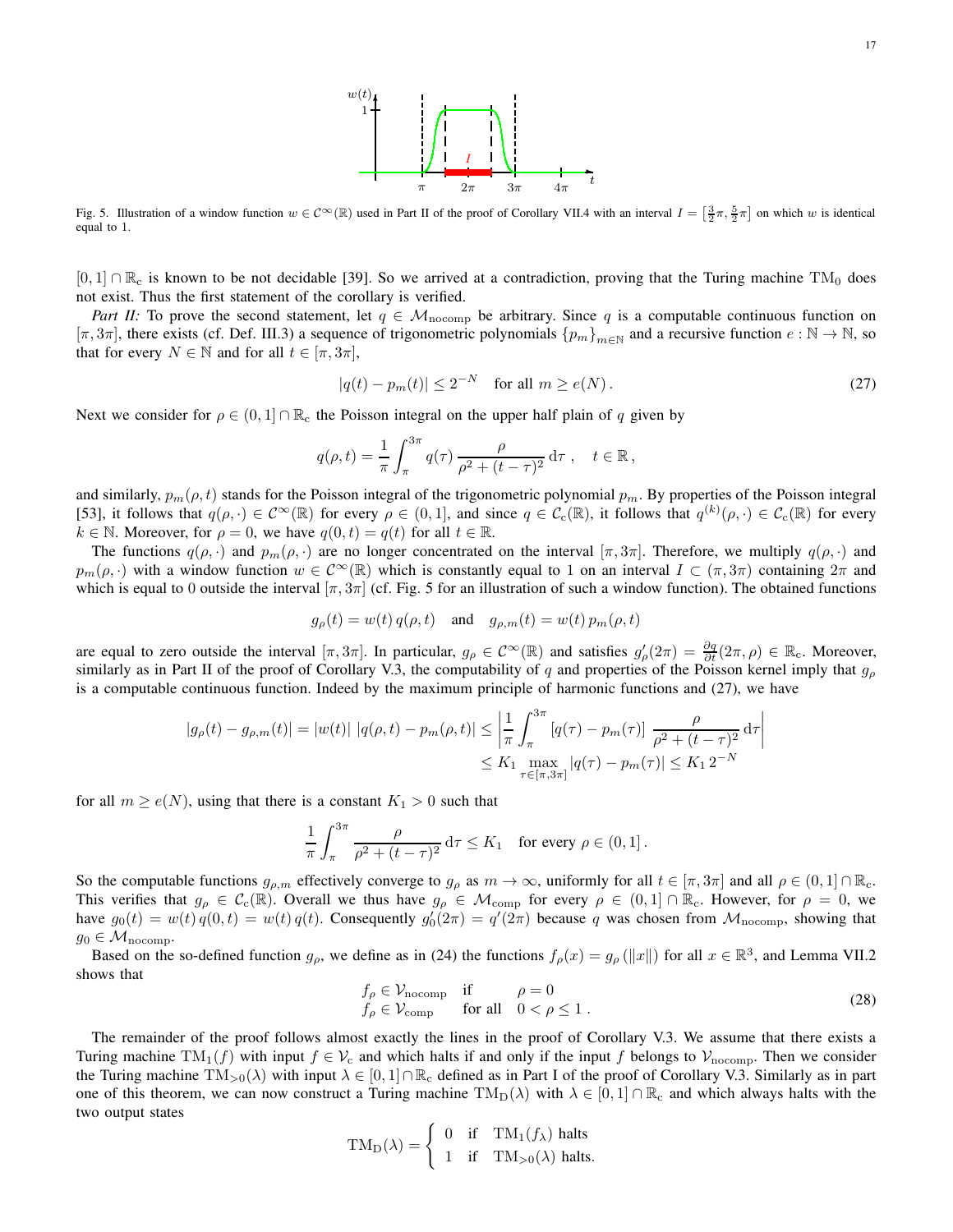

Fig. 5. Illustration of a window function  $w \in C^{\infty}(\mathbb{R})$  used in Part II of the proof of Corollary VII.4 with an interval  $I = \left[\frac{3}{2}\pi, \frac{5}{2}\pi\right]$  on which w is identical equal to 1.

 $[0,1] \cap \mathbb{R}_c$  is known to be not decidable [39]. So we arrived at a contradiction, proving that the Turing machine TM<sub>0</sub> does not exist. Thus the first statement of the corollary is verified.

*Part II:* To prove the second statement, let  $q \in M_{\text{nocomp}}$  be arbitrary. Since q is a computable continuous function on  $[\pi, 3\pi]$ , there exists (cf. Def. III.3) a sequence of trigonometric polynomials  $\{p_m\}_{m\in\mathbb{N}}$  and a recursive function  $e : \mathbb{N} \to \mathbb{N}$ , so that for every  $N \in \mathbb{N}$  and for all  $t \in [\pi, 3\pi]$ ,

$$
|q(t) - p_m(t)| \le 2^{-N} \quad \text{for all } m \ge e(N). \tag{27}
$$

Next we consider for  $\rho \in (0,1] \cap \mathbb{R}_{c}$  the Poisson integral on the upper half plain of q given by

$$
q(\rho, t) = \frac{1}{\pi} \int_{\pi}^{3\pi} q(\tau) \, \frac{\rho}{\rho^2 + (t - \tau)^2} \, \mathrm{d}\tau \, , \quad t \in \mathbb{R} \, ,
$$

and similarly,  $p_m(\rho, t)$  stands for the Poisson integral of the trigonometric polynomial  $p_m$ . By properties of the Poisson integral [53], it follows that  $q(\rho, \cdot) \in C^{\infty}(\mathbb{R})$  for every  $\rho \in (0, 1]$ , and since  $q \in C_c(\mathbb{R})$ , it follows that  $q^{(k)}(\rho, \cdot) \in C_c(\mathbb{R})$  for every  $k \in \mathbb{N}$ . Moreover, for  $\rho = 0$ , we have  $q(0, t) = q(t)$  for all  $t \in \mathbb{R}$ .

The functions  $q(\rho, \cdot)$  and  $p_m(\rho, \cdot)$  are no longer concentrated on the interval  $[\pi, 3\pi]$ . Therefore, we multiply  $q(\rho, \cdot)$  and  $p_m(\rho, \cdot)$  with a window function  $w \in C^{\infty}(\mathbb{R})$  which is constantly equal to 1 on an interval  $I \subset (\pi, 3\pi)$  containing  $2\pi$  and which is equal to 0 outside the interval  $[\pi, 3\pi]$  (cf. Fig. 5 for an illustration of such a window function). The obtained functions

$$
g_{\rho}(t) = w(t) q(\rho, t)
$$
 and  $g_{\rho,m}(t) = w(t) p_m(\rho, t)$ 

are equal to zero outside the interval  $[\pi, 3\pi]$ . In particular,  $g_{\rho} \in C^{\infty}(\mathbb{R})$  and satisfies  $g'_{\rho}(2\pi) = \frac{\partial g}{\partial t}(2\pi, \rho) \in \mathbb{R}_{c}$ . Moreover, similarly as in Part II of the proof of Corollary V.3, the computability of q and properties of the Poisson kernel imply that  $g_{\rho}$ is a computable continuous function. Indeed by the maximum principle of harmonic functions and (27), we have

$$
|g_{\rho}(t) - g_{\rho,m}(t)| = |w(t)| |q(\rho, t) - p_m(\rho, t)| \le \left| \frac{1}{\pi} \int_{\pi}^{3\pi} [q(\tau) - p_m(\tau)] \frac{\rho}{\rho^2 + (t - \tau)^2} d\tau \right|
$$
  

$$
\le K_1 \max_{\tau \in [\pi, 3\pi]} |q(\tau) - p_m(\tau)| \le K_1 2^{-N}
$$

for all  $m \geq e(N)$ , using that there is a constant  $K_1 > 0$  such that

$$
\frac{1}{\pi} \int_{\pi}^{3\pi} \frac{\rho}{\rho^2 + (t - \tau)^2} d\tau \le K_1 \quad \text{for every } \rho \in (0, 1].
$$

So the computable functions  $g_{\rho,m}$  effectively converge to  $g_{\rho}$  as  $m \to \infty$ , uniformly for all  $t \in [\pi, 3\pi]$  and all  $\rho \in (0,1] \cap \mathbb{R}_{c}$ . This verifies that  $g_\rho \in C_c(\mathbb{R})$ . Overall we thus have  $g_\rho \in M_{\text{comp}}$  for every  $\rho \in (0,1] \cap \mathbb{R}_c$ . However, for  $\rho = 0$ , we have  $g_0(t) = w(t) q(0, t) = w(t) q(t)$ . Consequently  $g'_0(2\pi) = q'(2\pi)$  because q was chosen from  $\mathcal{M}_{\text{nocomp}}$ , showing that  $g_0 \in \mathcal{M}_{\text{nocomp}}$ .

Based on the so-defined function  $g_{\rho}$ , we define as in (24) the functions  $f_{\rho}(x) = g_{\rho}(\|x\|)$  for all  $x \in \mathbb{R}^3$ , and Lemma VII.2 shows that

$$
f_{\rho} \in \mathcal{V}_{\text{nocomp}} \quad \text{if} \quad \rho = 0
$$
  
\n
$$
f_{\rho} \in \mathcal{V}_{\text{comp}} \quad \text{for all} \quad 0 < \rho \le 1.
$$
 (28)

The remainder of the proof follows almost exactly the lines in the proof of Corollary V.3. We assume that there exists a Turing machine TM<sub>1</sub>(f) with input  $f \in V_c$  and which halts if and only if the input f belongs to  $V_{\text{nocomp}}$ . Then we consider the Turing machine  $TM_{>0}(\lambda)$  with input  $\lambda \in [0,1] \cap \mathbb{R}_c$  defined as in Part I of the proof of Corollary V.3. Similarly as in part one of this theorem, we can now construct a Turing machine  $\text{TM}_D(\lambda)$  with  $\lambda \in [0,1] \cap \mathbb{R}_c$  and which always halts with the two output states

$$
TM_D(\lambda) = \begin{cases} 0 & \text{if } TM_1(f_\lambda) \text{ halts} \\ 1 & \text{if } TM_{>0}(\lambda) \text{ halts.} \end{cases}
$$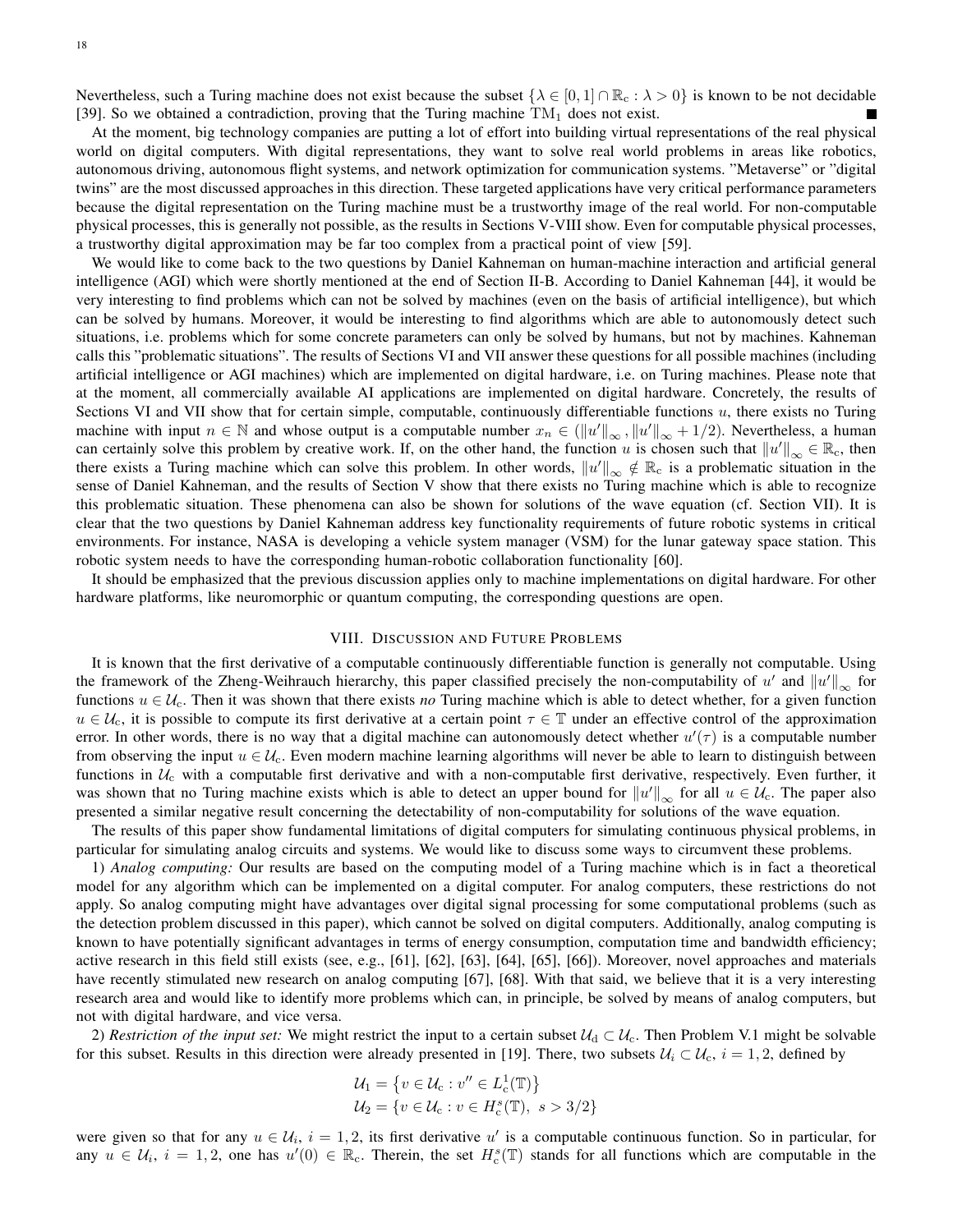Nevertheless, such a Turing machine does not exist because the subset  $\{\lambda \in [0,1] \cap \mathbb{R}_{c} : \lambda > 0\}$  is known to be not decidable [39]. So we obtained a contradiction, proving that the Turing machine  $TM_1$  does not exist.

At the moment, big technology companies are putting a lot of effort into building virtual representations of the real physical world on digital computers. With digital representations, they want to solve real world problems in areas like robotics, autonomous driving, autonomous flight systems, and network optimization for communication systems. "Metaverse" or "digital twins" are the most discussed approaches in this direction. These targeted applications have very critical performance parameters because the digital representation on the Turing machine must be a trustworthy image of the real world. For non-computable physical processes, this is generally not possible, as the results in Sections V-VIII show. Even for computable physical processes, a trustworthy digital approximation may be far too complex from a practical point of view [59].

We would like to come back to the two questions by Daniel Kahneman on human-machine interaction and artificial general intelligence (AGI) which were shortly mentioned at the end of Section II-B. According to Daniel Kahneman [44], it would be very interesting to find problems which can not be solved by machines (even on the basis of artificial intelligence), but which can be solved by humans. Moreover, it would be interesting to find algorithms which are able to autonomously detect such situations, i.e. problems which for some concrete parameters can only be solved by humans, but not by machines. Kahneman calls this "problematic situations". The results of Sections VI and VII answer these questions for all possible machines (including artificial intelligence or AGI machines) which are implemented on digital hardware, i.e. on Turing machines. Please note that at the moment, all commercially available AI applications are implemented on digital hardware. Concretely, the results of Sections VI and VII show that for certain simple, computable, continuously differentiable functions  $u$ , there exists no Turing machine with input  $n \in \mathbb{N}$  and whose output is a computable number  $x_n \in (\|u'\|_{\infty}, \|u'\|_{\infty} + 1/2)$ . Nevertheless, a human can certainly solve this problem by creative work. If, on the other hand, the function u is chosen such that  $||u'||_{\infty} \in \mathbb{R}_c$ , then there exists a Turing machine which can solve this problem. In other words,  $\|u'\|_{\infty} \notin \mathbb{R}_c$  is a problematic situation in the sense of Daniel Kahneman, and the results of Section V show that there exists no Turing machine which is able to recognize this problematic situation. These phenomena can also be shown for solutions of the wave equation (cf. Section VII). It is clear that the two questions by Daniel Kahneman address key functionality requirements of future robotic systems in critical environments. For instance, NASA is developing a vehicle system manager (VSM) for the lunar gateway space station. This robotic system needs to have the corresponding human-robotic collaboration functionality [60].

It should be emphasized that the previous discussion applies only to machine implementations on digital hardware. For other hardware platforms, like neuromorphic or quantum computing, the corresponding questions are open.

### VIII. DISCUSSION AND FUTURE PROBLEMS

It is known that the first derivative of a computable continuously differentiable function is generally not computable. Using the framework of the Zheng-Weihrauch hierarchy, this paper classified precisely the non-computability of u' and  $||u'||_{\infty}$  for functions  $u \in \mathcal{U}_c$ . Then it was shown that there exists *no* Turing machine which is able to detect whether, for a given function  $u \in \mathcal{U}_c$ , it is possible to compute its first derivative at a certain point  $\tau \in \mathbb{T}$  under an effective control of the approximation error. In other words, there is no way that a digital machine can autonomously detect whether  $u'(\tau)$  is a computable number from observing the input  $u \in \mathcal{U}_c$ . Even modern machine learning algorithms will never be able to learn to distinguish between functions in  $U_c$  with a computable first derivative and with a non-computable first derivative, respectively. Even further, it was shown that no Turing machine exists which is able to detect an upper bound for  $||u'||_{\infty}$  for all  $u \in \mathcal{U}_c$ . The paper also presented a similar negative result concerning the detectability of non-computability for solutions of the wave equation.

The results of this paper show fundamental limitations of digital computers for simulating continuous physical problems, in particular for simulating analog circuits and systems. We would like to discuss some ways to circumvent these problems.

1) *Analog computing:* Our results are based on the computing model of a Turing machine which is in fact a theoretical model for any algorithm which can be implemented on a digital computer. For analog computers, these restrictions do not apply. So analog computing might have advantages over digital signal processing for some computational problems (such as the detection problem discussed in this paper), which cannot be solved on digital computers. Additionally, analog computing is known to have potentially significant advantages in terms of energy consumption, computation time and bandwidth efficiency; active research in this field still exists (see, e.g., [61], [62], [63], [64], [65], [66]). Moreover, novel approaches and materials have recently stimulated new research on analog computing [67], [68]. With that said, we believe that it is a very interesting research area and would like to identify more problems which can, in principle, be solved by means of analog computers, but not with digital hardware, and vice versa.

2) *Restriction of the input set:* We might restrict the input to a certain subset  $U_d \subset U_c$ . Then Problem V.1 might be solvable for this subset. Results in this direction were already presented in [19]. There, two subsets  $U_i \subset U_c$ ,  $i = 1, 2$ , defined by

$$
U_1 = \{ v \in U_c : v'' \in L_c^1(\mathbb{T}) \}
$$
  
 
$$
U_2 = \{ v \in U_c : v \in H_c^s(\mathbb{T}), s > 3/2 \}
$$

were given so that for any  $u \in U_i$ ,  $i = 1, 2$ , its first derivative u' is a computable continuous function. So in particular, for any  $u \in \mathcal{U}_i$ ,  $i = 1, 2$ , one has  $u'(0) \in \mathbb{R}_c$ . Therein, the set  $H_c^s(\mathbb{T})$  stands for all functions which are computable in the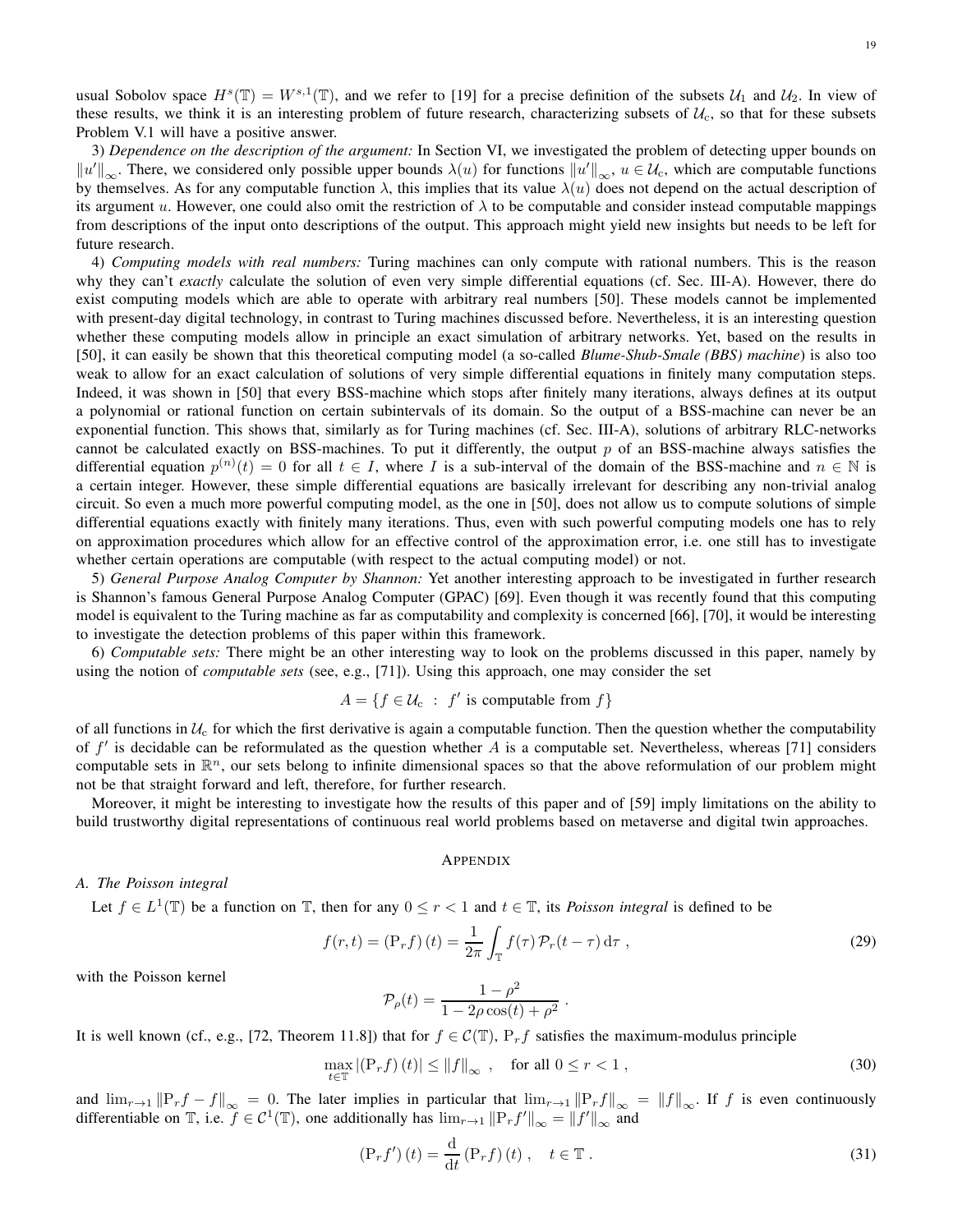usual Sobolov space  $H^s(\mathbb{T}) = W^{s,1}(\mathbb{T})$ , and we refer to [19] for a precise definition of the subsets  $\mathcal{U}_1$  and  $\mathcal{U}_2$ . In view of these results, we think it is an interesting problem of future research, characterizing subsets of  $U_c$ , so that for these subsets Problem V.1 will have a positive answer.

3) *Dependence on the description of the argument:* In Section VI, we investigated the problem of detecting upper bounds on  $||u'||_{\infty}$ . There, we considered only possible upper bounds  $\lambda(u)$  for functions  $||u'||_{\infty}$ ,  $u \in \mathcal{U}_c$ , which are computable functions by themselves. As for any computable function  $\lambda$ , this implies that its value  $\lambda(u)$  does not depend on the actual description of its argument u. However, one could also omit the restriction of  $\lambda$  to be computable and consider instead computable mappings from descriptions of the input onto descriptions of the output. This approach might yield new insights but needs to be left for future research.

4) *Computing models with real numbers:* Turing machines can only compute with rational numbers. This is the reason why they can't *exactly* calculate the solution of even very simple differential equations (cf. Sec. III-A). However, there do exist computing models which are able to operate with arbitrary real numbers [50]. These models cannot be implemented with present-day digital technology, in contrast to Turing machines discussed before. Nevertheless, it is an interesting question whether these computing models allow in principle an exact simulation of arbitrary networks. Yet, based on the results in [50], it can easily be shown that this theoretical computing model (a so-called *Blume-Shub-Smale (BBS) machine*) is also too weak to allow for an exact calculation of solutions of very simple differential equations in finitely many computation steps. Indeed, it was shown in [50] that every BSS-machine which stops after finitely many iterations, always defines at its output a polynomial or rational function on certain subintervals of its domain. So the output of a BSS-machine can never be an exponential function. This shows that, similarly as for Turing machines (cf. Sec. III-A), solutions of arbitrary RLC-networks cannot be calculated exactly on BSS-machines. To put it differently, the output  $p$  of an BSS-machine always satisfies the differential equation  $p^{(n)}(t) = 0$  for all  $t \in I$ , where I is a sub-interval of the domain of the BSS-machine and  $n \in \mathbb{N}$  is a certain integer. However, these simple differential equations are basically irrelevant for describing any non-trivial analog circuit. So even a much more powerful computing model, as the one in [50], does not allow us to compute solutions of simple differential equations exactly with finitely many iterations. Thus, even with such powerful computing models one has to rely on approximation procedures which allow for an effective control of the approximation error, i.e. one still has to investigate whether certain operations are computable (with respect to the actual computing model) or not.

5) *General Purpose Analog Computer by Shannon:* Yet another interesting approach to be investigated in further research is Shannon's famous General Purpose Analog Computer (GPAC) [69]. Even though it was recently found that this computing model is equivalent to the Turing machine as far as computability and complexity is concerned [66], [70], it would be interesting to investigate the detection problems of this paper within this framework.

6) *Computable sets:* There might be an other interesting way to look on the problems discussed in this paper, namely by using the notion of *computable sets* (see, e.g., [71]). Using this approach, one may consider the set

$$
A = \{ f \in \mathcal{U}_c : f' \text{ is computable from } f \}
$$

of all functions in  $U_c$  for which the first derivative is again a computable function. Then the question whether the computability of  $f'$  is decidable can be reformulated as the question whether A is a computable set. Nevertheless, whereas [71] considers computable sets in  $\mathbb{R}^n$ , our sets belong to infinite dimensional spaces so that the above reformulation of our problem might not be that straight forward and left, therefore, for further research.

Moreover, it might be interesting to investigate how the results of this paper and of [59] imply limitations on the ability to build trustworthy digital representations of continuous real world problems based on metaverse and digital twin approaches.

### APPENDIX

# *A. The Poisson integral*

Let  $f \in L^1(\mathbb{T})$  be a function on  $\mathbb{T}$ , then for any  $0 \le r < 1$  and  $t \in \mathbb{T}$ , its *Poisson integral* is defined to be

$$
f(r,t) = \left(\mathbf{P}_r f\right)(t) = \frac{1}{2\pi} \int_{\mathbb{T}} f(\tau) \mathcal{P}_r(t-\tau) d\tau , \qquad (29)
$$

.

with the Poisson kernel

$$
\mathcal{P}_{\rho}(t) = \frac{1 - \rho^2}{1 - 2\rho \cos(t) + \rho^2}
$$

It is well known (cf., e.g., [72, Theorem 11.8]) that for  $f \in \mathcal{C}(\mathbb{T})$ ,  $P_r f$  satisfies the maximum-modulus principle

$$
\max_{t \in \mathbb{T}} |(P_r f)(t)| \le ||f||_{\infty} , \quad \text{for all } 0 \le r < 1 ,
$$
\n(30)

and  $\lim_{r\to 1} ||P_rf - f||_{\infty} = 0$ . The later implies in particular that  $\lim_{r\to 1} ||P_rf||_{\infty} = ||f||_{\infty}$ . If f is even continuously differentiable on  $\mathbb{T}$ , i.e.  $f \in C^1(\mathbb{T})$ , one additionally has  $\lim_{r \to 1} ||P_r f'||_{\infty} = ||f'||_{\infty}$  and

$$
\left(\mathbf{P}_r f'\right)(t) = \frac{\mathrm{d}}{\mathrm{d}t} \left(\mathbf{P}_r f\right)(t) , \quad t \in \mathbb{T} . \tag{31}
$$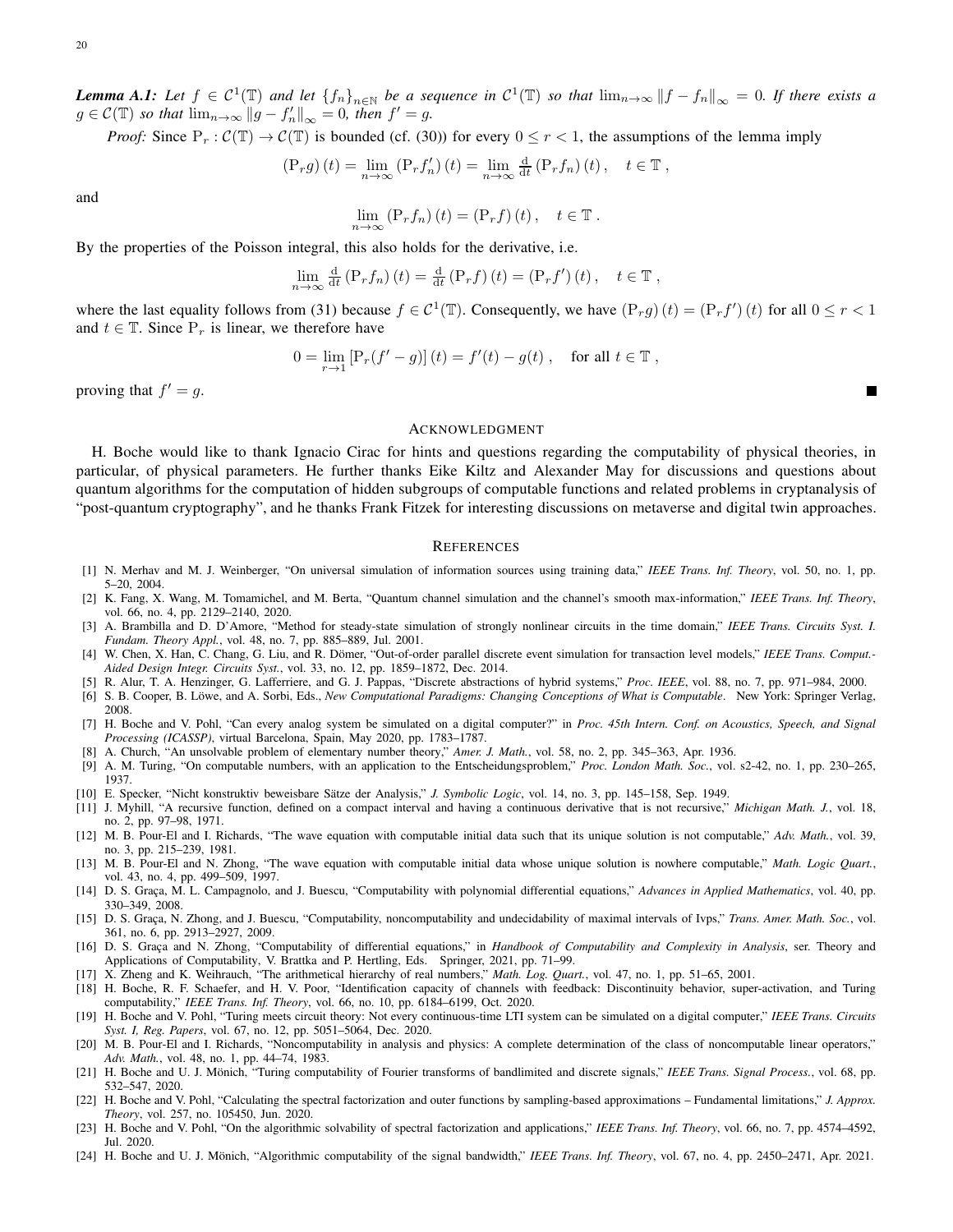*Lemma A.1:* Let  $f \in C^1(\mathbb{T})$  and let  $\{f_n\}_{n\in\mathbb{N}}$  be a sequence in  $C^1(\mathbb{T})$  so that  $\lim_{n\to\infty}||f - f_n||_{\infty} = 0$ . If there exists a  $g \in \mathcal{C}(\mathbb{T})$  *so that*  $\lim_{n \to \infty} ||g - f'_n||_{\infty} = 0$ *, then*  $f' = g$ *.* 

*Proof:* Since  $P_r : C(\mathbb{T}) \to C(\mathbb{T})$  is bounded (cf. (30)) for every  $0 \le r < 1$ , the assumptions of the lemma imply

$$
\left(\mathbf{P}_r g\right)(t) = \lim_{n \to \infty} \left(\mathbf{P}_r f'_n\right)(t) = \lim_{n \to \infty} \frac{\mathrm{d}}{\mathrm{d}t} \left(\mathbf{P}_r f_n\right)(t), \quad t \in \mathbb{T},
$$

and

$$
\lim_{n \to \infty} \left( P_r f_n \right) (t) = \left( P_r f \right) (t) \,, \quad t \in \mathbb{T} \,.
$$

By the properties of the Poisson integral, this also holds for the derivative, i.e.

$$
\lim_{n \to \infty} \frac{d}{dt} \left( P_r f_n \right) (t) = \frac{d}{dt} \left( P_r f \right) (t) = \left( P_r f' \right) (t), \quad t \in \mathbb{T},
$$

where the last equality follows from (31) because  $f \in C^1(\mathbb{T})$ . Consequently, we have  $(P_r g)(t) = (P_r f')(t)$  for all  $0 \le r < 1$ and  $t \in \mathbb{T}$ . Since  $P_r$  is linear, we therefore have

$$
0 = \lim_{r \to 1} \left[ \mathbf{P}_r(f' - g) \right](t) = f'(t) - g(t) , \quad \text{for all } t \in \mathbb{T} ,
$$

Г

proving that  $f' = g$ .

### ACKNOWLEDGMENT

H. Boche would like to thank Ignacio Cirac for hints and questions regarding the computability of physical theories, in particular, of physical parameters. He further thanks Eike Kiltz and Alexander May for discussions and questions about quantum algorithms for the computation of hidden subgroups of computable functions and related problems in cryptanalysis of "post-quantum cryptography", and he thanks Frank Fitzek for interesting discussions on metaverse and digital twin approaches.

### **REFERENCES**

- [1] N. Merhav and M. J. Weinberger, "On universal simulation of information sources using training data," *IEEE Trans. Inf. Theory*, vol. 50, no. 1, pp. 5–20, 2004.
- [2] K. Fang, X. Wang, M. Tomamichel, and M. Berta, "Quantum channel simulation and the channel's smooth max-information," *IEEE Trans. Inf. Theory*, vol. 66, no. 4, pp. 2129–2140, 2020.
- [3] A. Brambilla and D. D'Amore, "Method for steady-state simulation of strongly nonlinear circuits in the time domain," *IEEE Trans. Circuits Syst. I. Fundam. Theory Appl.*, vol. 48, no. 7, pp. 885–889, Jul. 2001.
- [4] W. Chen, X. Han, C. Chang, G. Liu, and R. Dömer, "Out-of-order parallel discrete event simulation for transaction level models," *IEEE Trans. Comput.*-*Aided Design Integr. Circuits Syst.*, vol. 33, no. 12, pp. 1859–1872, Dec. 2014.
- [5] R. Alur, T. A. Henzinger, G. Lafferriere, and G. J. Pappas, "Discrete abstractions of hybrid systems," *Proc. IEEE*, vol. 88, no. 7, pp. 971–984, 2000.
- [6] S. B. Cooper, B. Löwe, and A. Sorbi, Eds., *New Computational Paradigms: Changing Conceptions of What is Computable*. New York: Springer Verlag, 2008.
- [7] H. Boche and V. Pohl, "Can every analog system be simulated on a digital computer?" in *Proc. 45th Intern. Conf. on Acoustics, Speech, and Signal Processing (ICASSP)*, virtual Barcelona, Spain, May 2020, pp. 1783–1787.
- [8] A. Church, "An unsolvable problem of elementary number theory," *Amer. J. Math.*, vol. 58, no. 2, pp. 345–363, Apr. 1936.
- [9] A. M. Turing, "On computable numbers, with an application to the Entscheidungsproblem," *Proc. London Math. Soc.*, vol. s2-42, no. 1, pp. 230–265, 1937.
- [10] E. Specker, "Nicht konstruktiv beweisbare Sätze der Analysis," *J. Symbolic Logic*, vol. 14, no. 3, pp. 145–158, Sep. 1949.
- [11] J. Myhill, "A recursive function, defined on a compact interval and having a continuous derivative that is not recursive," *Michigan Math. J.*, vol. 18, no. 2, pp. 97–98, 1971.
- [12] M. B. Pour-El and I. Richards, "The wave equation with computable initial data such that its unique solution is not computable," *Adv. Math.*, vol. 39, no. 3, pp. 215–239, 1981.
- [13] M. B. Pour-El and N. Zhong, "The wave equation with computable initial data whose unique solution is nowhere computable," *Math. Logic Quart.*, vol. 43, no. 4, pp. 499–509, 1997.
- [14] D. S. Graça, M. L. Campagnolo, and J. Buescu, "Computability with polynomial differential equations," *Advances in Applied Mathematics*, vol. 40, pp. 330–349, 2008.
- [15] D. S. Graça, N. Zhong, and J. Buescu, "Computability, noncomputability and undecidability of maximal intervals of Ivps," *Trans. Amer. Math. Soc.*, vol. 361, no. 6, pp. 2913–2927, 2009.
- [16] D. S. Graça and N. Zhong, "Computability of differential equations," in *Handbook of Computability and Complexity in Analysis*, ser. Theory and Applications of Computability, V. Brattka and P. Hertling, Eds. Springer, 2021, pp. 71–99.
- [17] X. Zheng and K. Weihrauch, "The arithmetical hierarchy of real numbers," *Math. Log. Quart.*, vol. 47, no. 1, pp. 51–65, 2001.
- [18] H. Boche, R. F. Schaefer, and H. V. Poor, "Identification capacity of channels with feedback: Discontinuity behavior, super-activation, and Turing computability," *IEEE Trans. Inf. Theory*, vol. 66, no. 10, pp. 6184–6199, Oct. 2020.
- [19] H. Boche and V. Pohl, "Turing meets circuit theory: Not every continuous-time LTI system can be simulated on a digital computer," *IEEE Trans. Circuits Syst. I, Reg. Papers*, vol. 67, no. 12, pp. 5051–5064, Dec. 2020.
- [20] M. B. Pour-El and I. Richards, "Noncomputability in analysis and physics: A complete determination of the class of noncomputable linear operators," *Adv. Math.*, vol. 48, no. 1, pp. 44–74, 1983.
- [21] H. Boche and U. J. Mönich, "Turing computability of Fourier transforms of bandlimited and discrete signals," *IEEE Trans. Signal Process.*, vol. 68, pp. 532–547, 2020.
- [22] H. Boche and V. Pohl, "Calculating the spectral factorization and outer functions by sampling-based approximations Fundamental limitations," *J. Approx. Theory*, vol. 257, no. 105450, Jun. 2020.
- [23] H. Boche and V. Pohl, "On the algorithmic solvability of spectral factorization and applications," *IEEE Trans. Inf. Theory*, vol. 66, no. 7, pp. 4574–4592, Jul. 2020.
- [24] H. Boche and U. J. Mönich, "Algorithmic computability of the signal bandwidth," IEEE Trans. Inf. Theory, vol. 67, no. 4, pp. 2450–2471, Apr. 2021.